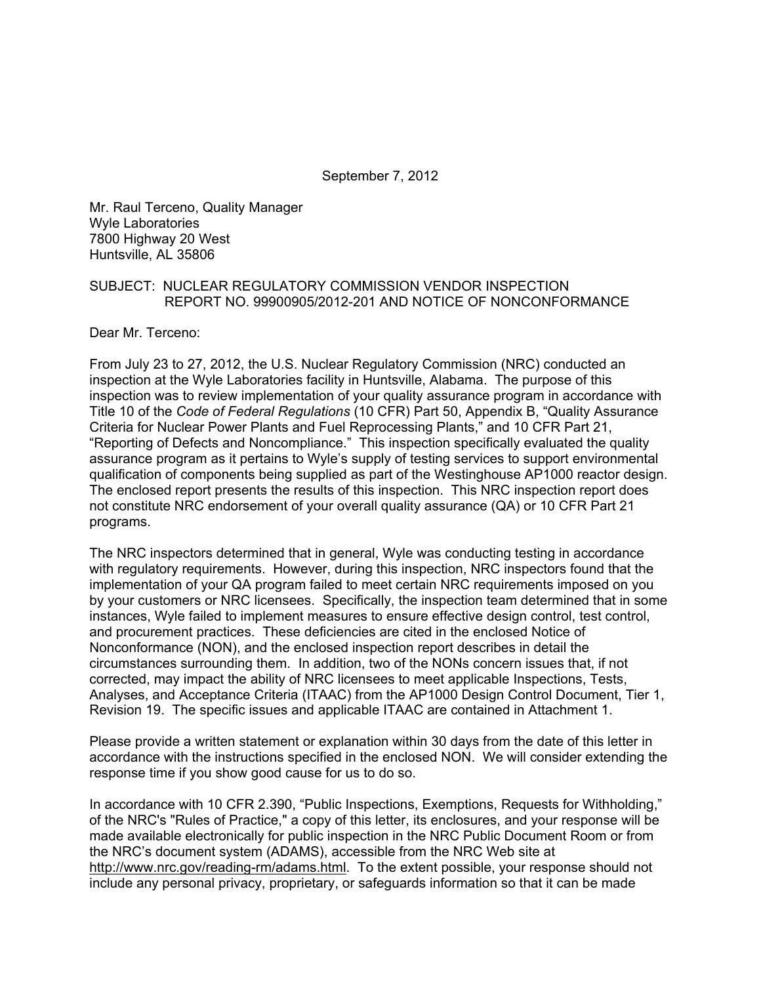September 7, 2012

Mr. Raul Terceno, Quality Manager Wyle Laboratories 7800 Highway 20 West Huntsville, AL 35806

#### SUBJECT: NUCLEAR REGULATORY COMMISSION VENDOR INSPECTION REPORT NO. 99900905/2012-201 AND NOTICE OF NONCONFORMANCE

Dear Mr. Terceno:

From July 23 to 27, 2012, the U.S. Nuclear Regulatory Commission (NRC) conducted an inspection at the Wyle Laboratories facility in Huntsville, Alabama. The purpose of this inspection was to review implementation of your quality assurance program in accordance with Title 10 of the *Code of Federal Regulations* (10 CFR) Part 50, Appendix B, "Quality Assurance Criteria for Nuclear Power Plants and Fuel Reprocessing Plants," and 10 CFR Part 21, "Reporting of Defects and Noncompliance." This inspection specifically evaluated the quality assurance program as it pertains to Wyle's supply of testing services to support environmental qualification of components being supplied as part of the Westinghouse AP1000 reactor design. The enclosed report presents the results of this inspection. This NRC inspection report does not constitute NRC endorsement of your overall quality assurance (QA) or 10 CFR Part 21 programs.

The NRC inspectors determined that in general, Wyle was conducting testing in accordance with regulatory requirements. However, during this inspection, NRC inspectors found that the implementation of your QA program failed to meet certain NRC requirements imposed on you by your customers or NRC licensees. Specifically, the inspection team determined that in some instances, Wyle failed to implement measures to ensure effective design control, test control, and procurement practices. These deficiencies are cited in the enclosed Notice of Nonconformance (NON), and the enclosed inspection report describes in detail the circumstances surrounding them. In addition, two of the NONs concern issues that, if not corrected, may impact the ability of NRC licensees to meet applicable Inspections, Tests, Analyses, and Acceptance Criteria (ITAAC) from the AP1000 Design Control Document, Tier 1, Revision 19. The specific issues and applicable ITAAC are contained in Attachment 1.

Please provide a written statement or explanation within 30 days from the date of this letter in accordance with the instructions specified in the enclosed NON. We will consider extending the response time if you show good cause for us to do so.

In accordance with 10 CFR 2.390, "Public Inspections, Exemptions, Requests for Withholding," of the NRC's "Rules of Practice," a copy of this letter, its enclosures, and your response will be made available electronically for public inspection in the NRC Public Document Room or from the NRC's document system (ADAMS), accessible from the NRC Web site at http://www.nrc.gov/reading-rm/adams.html. To the extent possible, your response should not include any personal privacy, proprietary, or safeguards information so that it can be made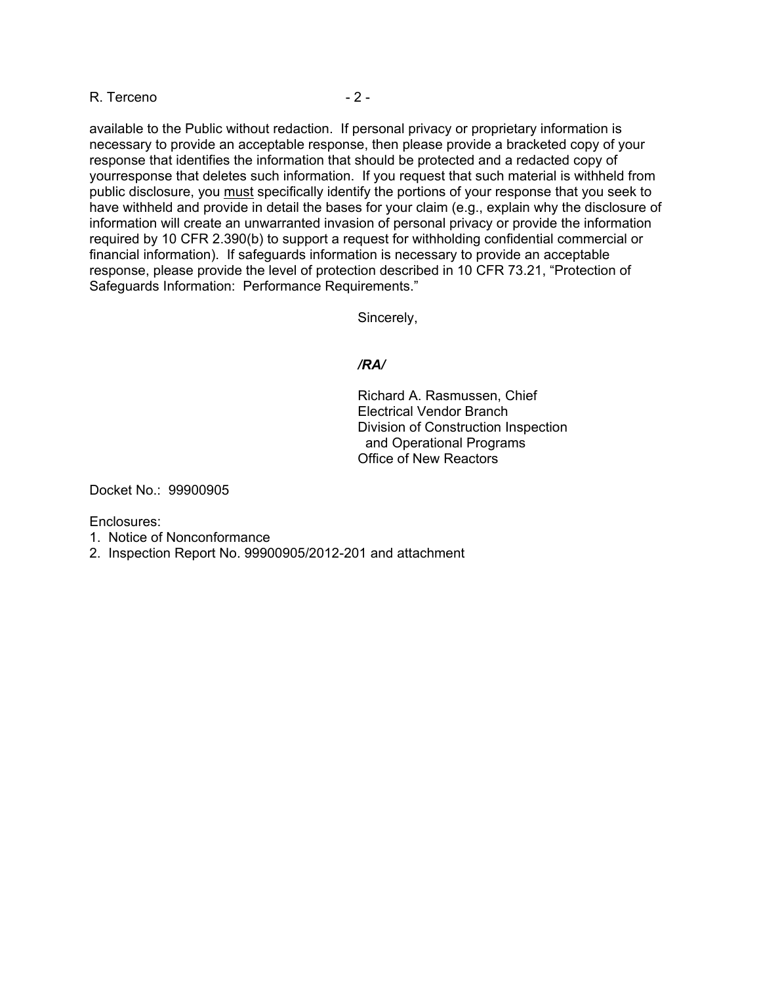#### R. Terceno  $-2 -$

available to the Public without redaction. If personal privacy or proprietary information is necessary to provide an acceptable response, then please provide a bracketed copy of your response that identifies the information that should be protected and a redacted copy of yourresponse that deletes such information. If you request that such material is withheld from public disclosure, you must specifically identify the portions of your response that you seek to have withheld and provide in detail the bases for your claim (e.g., explain why the disclosure of information will create an unwarranted invasion of personal privacy or provide the information required by 10 CFR 2.390(b) to support a request for withholding confidential commercial or financial information). If safeguards information is necessary to provide an acceptable response, please provide the level of protection described in 10 CFR 73.21, "Protection of Safeguards Information: Performance Requirements."

Sincerely,

#### */RA/*

Richard A. Rasmussen, Chief Electrical Vendor Branch Division of Construction Inspection and Operational Programs Office of New Reactors

Docket No.: 99900905

Enclosures:

- 1. Notice of Nonconformance
- 2. Inspection Report No. 99900905/2012-201 and attachment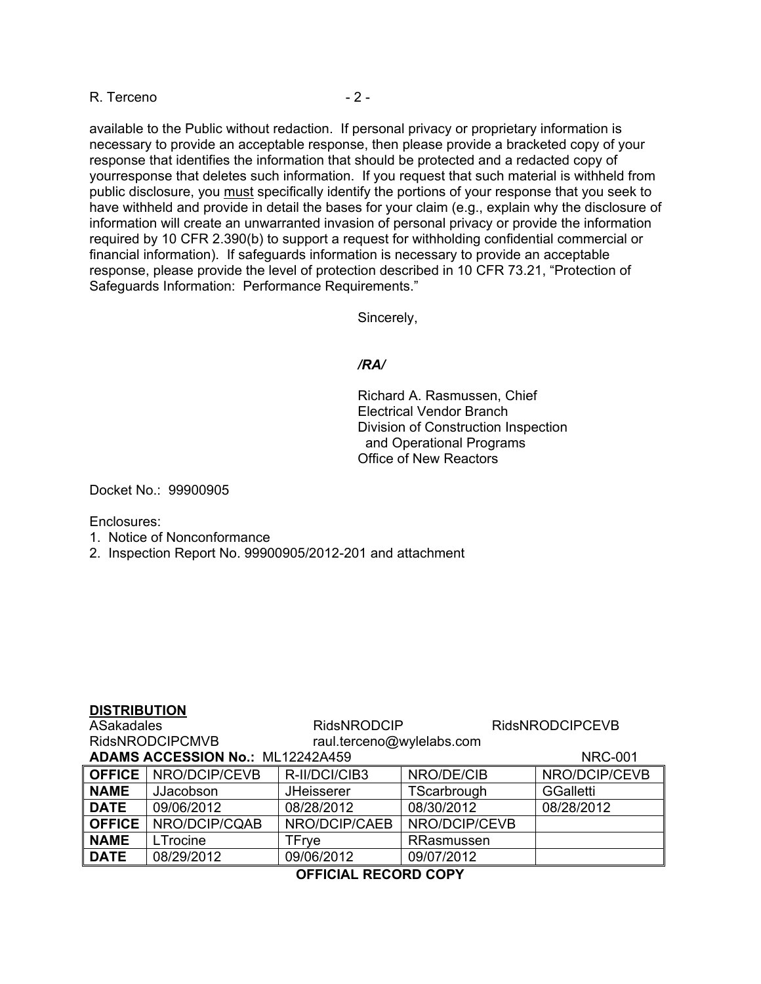#### R. Terceno  $-2 -$

available to the Public without redaction. If personal privacy or proprietary information is necessary to provide an acceptable response, then please provide a bracketed copy of your response that identifies the information that should be protected and a redacted copy of yourresponse that deletes such information. If you request that such material is withheld from public disclosure, you must specifically identify the portions of your response that you seek to have withheld and provide in detail the bases for your claim (e.g., explain why the disclosure of information will create an unwarranted invasion of personal privacy or provide the information required by 10 CFR 2.390(b) to support a request for withholding confidential commercial or financial information). If safeguards information is necessary to provide an acceptable response, please provide the level of protection described in 10 CFR 73.21, "Protection of Safeguards Information: Performance Requirements."

Sincerely,

#### */RA/*

Richard A. Rasmussen, Chief Electrical Vendor Branch Division of Construction Inspection and Operational Programs Office of New Reactors

Docket No.: 99900905

Enclosures:

- 1. Notice of Nonconformance
- 2. Inspection Report No. 99900905/2012-201 and attachment

#### **DISTRIBUTION**

| <b>ASakadales</b>      |                                         | <b>RidsNRODCIP</b>        |               | <b>RidsNRODCIPCEVB</b> |  |
|------------------------|-----------------------------------------|---------------------------|---------------|------------------------|--|
| <b>RidsNRODCIPCMVB</b> |                                         | raul.terceno@wylelabs.com |               |                        |  |
|                        | <b>ADAMS ACCESSION No.: ML12242A459</b> |                           |               | <b>NRC-001</b>         |  |
|                        | OFFICE   NRO/DCIP/CEVB                  | R-II/DCI/CIB3             | NRO/DE/CIB    | NRO/DCIP/CEVB          |  |
| <b>NAME</b>            | JJacobson                               | <b>JHeisserer</b>         | TScarbrough   | <b>GGalletti</b>       |  |
| <b>DATE</b>            | 09/06/2012                              | 08/28/2012                | 08/30/2012    | 08/28/2012             |  |
| <b>OFFICE</b>          | NRO/DCIP/CQAB                           | NRO/DCIP/CAEB             | NRO/DCIP/CEVB |                        |  |
| <b>NAME</b>            | LTrocine                                | TFrve                     | RRasmussen    |                        |  |
| <b>DATE</b>            | 08/29/2012                              | 09/06/2012                | 09/07/2012    |                        |  |

#### **OFFICIAL RECORD COPY**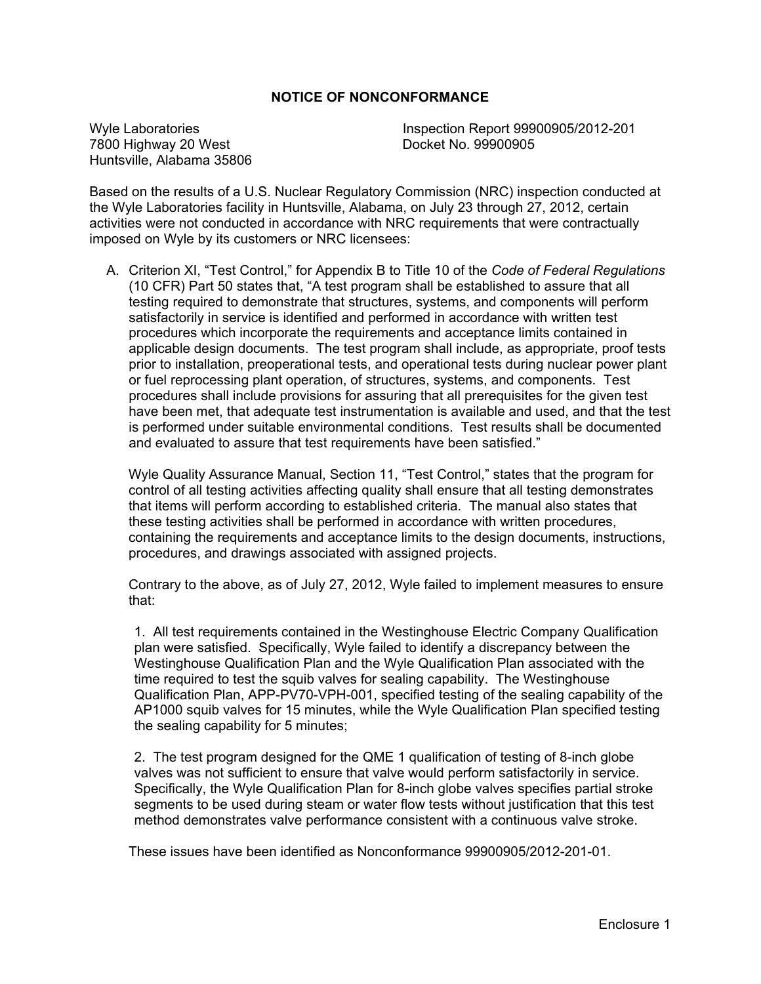#### **NOTICE OF NONCONFORMANCE**

7800 Highway 20 West Huntsville, Alabama 35806

Wyle Laboratories<br>
7800 Highway 20 West<br>
7800 Highway 20 West<br>
19900905

Based on the results of a U.S. Nuclear Regulatory Commission (NRC) inspection conducted at the Wyle Laboratories facility in Huntsville, Alabama, on July 23 through 27, 2012, certain activities were not conducted in accordance with NRC requirements that were contractually imposed on Wyle by its customers or NRC licensees:

A. Criterion XI, "Test Control," for Appendix B to Title 10 of the *Code of Federal Regulations* (10 CFR) Part 50 states that, "A test program shall be established to assure that all testing required to demonstrate that structures, systems, and components will perform satisfactorily in service is identified and performed in accordance with written test procedures which incorporate the requirements and acceptance limits contained in applicable design documents. The test program shall include, as appropriate, proof tests prior to installation, preoperational tests, and operational tests during nuclear power plant or fuel reprocessing plant operation, of structures, systems, and components. Test procedures shall include provisions for assuring that all prerequisites for the given test have been met, that adequate test instrumentation is available and used, and that the test is performed under suitable environmental conditions. Test results shall be documented and evaluated to assure that test requirements have been satisfied."

Wyle Quality Assurance Manual, Section 11, "Test Control," states that the program for control of all testing activities affecting quality shall ensure that all testing demonstrates that items will perform according to established criteria. The manual also states that these testing activities shall be performed in accordance with written procedures, containing the requirements and acceptance limits to the design documents, instructions, procedures, and drawings associated with assigned projects.

Contrary to the above, as of July 27, 2012, Wyle failed to implement measures to ensure that:

1. All test requirements contained in the Westinghouse Electric Company Qualification plan were satisfied. Specifically, Wyle failed to identify a discrepancy between the Westinghouse Qualification Plan and the Wyle Qualification Plan associated with the time required to test the squib valves for sealing capability. The Westinghouse Qualification Plan, APP-PV70-VPH-001, specified testing of the sealing capability of the AP1000 squib valves for 15 minutes, while the Wyle Qualification Plan specified testing the sealing capability for 5 minutes;

2. The test program designed for the QME 1 qualification of testing of 8-inch globe valves was not sufficient to ensure that valve would perform satisfactorily in service. Specifically, the Wyle Qualification Plan for 8-inch globe valves specifies partial stroke segments to be used during steam or water flow tests without justification that this test method demonstrates valve performance consistent with a continuous valve stroke.

These issues have been identified as Nonconformance 99900905/2012-201-01.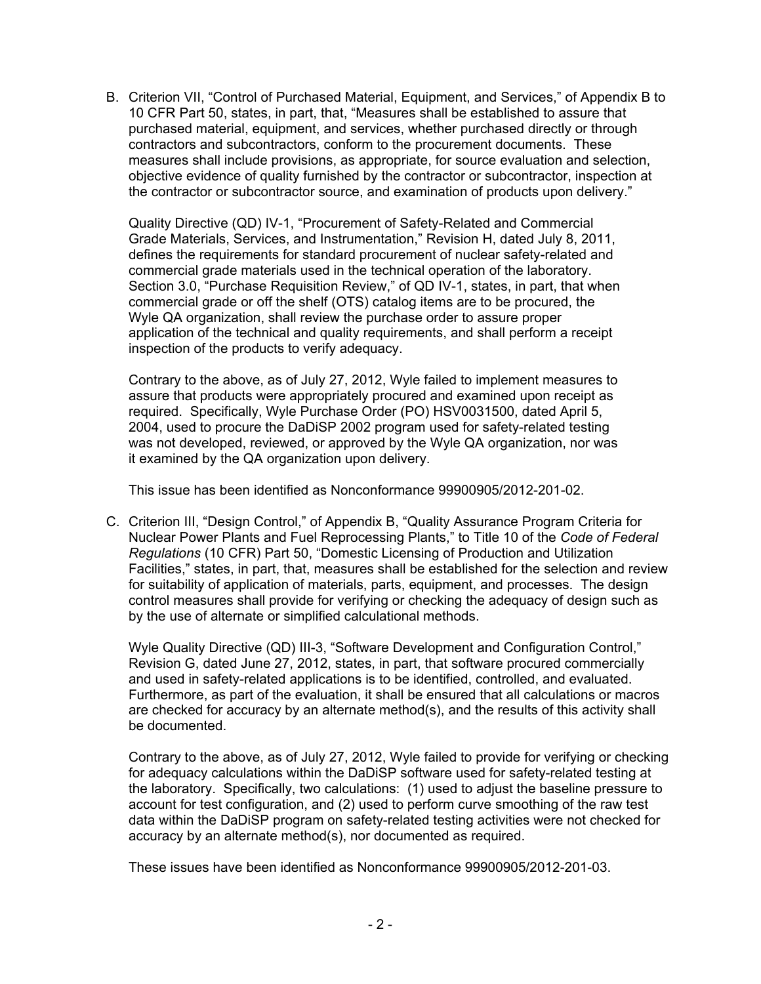B. Criterion VII, "Control of Purchased Material, Equipment, and Services," of Appendix B to 10 CFR Part 50, states, in part, that, "Measures shall be established to assure that purchased material, equipment, and services, whether purchased directly or through contractors and subcontractors, conform to the procurement documents. These measures shall include provisions, as appropriate, for source evaluation and selection, objective evidence of quality furnished by the contractor or subcontractor, inspection at the contractor or subcontractor source, and examination of products upon delivery."

Quality Directive (QD) IV-1, "Procurement of Safety-Related and Commercial Grade Materials, Services, and Instrumentation," Revision H, dated July 8, 2011, defines the requirements for standard procurement of nuclear safety-related and commercial grade materials used in the technical operation of the laboratory. Section 3.0, "Purchase Requisition Review," of QD IV-1, states, in part, that when commercial grade or off the shelf (OTS) catalog items are to be procured, the Wyle QA organization, shall review the purchase order to assure proper application of the technical and quality requirements, and shall perform a receipt inspection of the products to verify adequacy.

Contrary to the above, as of July 27, 2012, Wyle failed to implement measures to assure that products were appropriately procured and examined upon receipt as required. Specifically, Wyle Purchase Order (PO) HSV0031500, dated April 5, 2004, used to procure the DaDiSP 2002 program used for safety-related testing was not developed, reviewed, or approved by the Wyle QA organization, nor was it examined by the QA organization upon delivery.

This issue has been identified as Nonconformance 99900905/2012-201-02.

C. Criterion III, "Design Control," of Appendix B, "Quality Assurance Program Criteria for Nuclear Power Plants and Fuel Reprocessing Plants," to Title 10 of the *Code of Federal Regulations* (10 CFR) Part 50, "Domestic Licensing of Production and Utilization Facilities," states, in part, that, measures shall be established for the selection and review for suitability of application of materials, parts, equipment, and processes. The design control measures shall provide for verifying or checking the adequacy of design such as by the use of alternate or simplified calculational methods.

Wyle Quality Directive (QD) III-3, "Software Development and Configuration Control," Revision G, dated June 27, 2012, states, in part, that software procured commercially and used in safety-related applications is to be identified, controlled, and evaluated. Furthermore, as part of the evaluation, it shall be ensured that all calculations or macros are checked for accuracy by an alternate method(s), and the results of this activity shall be documented.

Contrary to the above, as of July 27, 2012, Wyle failed to provide for verifying or checking for adequacy calculations within the DaDiSP software used for safety-related testing at the laboratory. Specifically, two calculations: (1) used to adjust the baseline pressure to account for test configuration, and (2) used to perform curve smoothing of the raw test data within the DaDiSP program on safety-related testing activities were not checked for accuracy by an alternate method(s), nor documented as required.

These issues have been identified as Nonconformance 99900905/2012-201-03.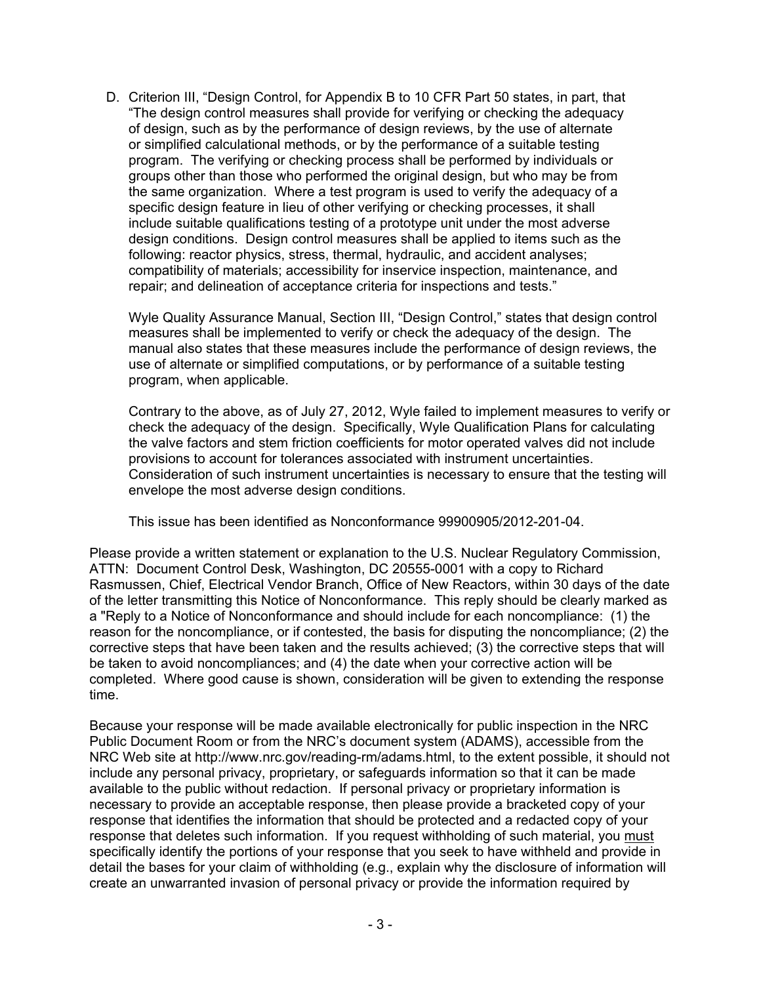D. Criterion III, "Design Control, for Appendix B to 10 CFR Part 50 states, in part, that "The design control measures shall provide for verifying or checking the adequacy of design, such as by the performance of design reviews, by the use of alternate or simplified calculational methods, or by the performance of a suitable testing program. The verifying or checking process shall be performed by individuals or groups other than those who performed the original design, but who may be from the same organization. Where a test program is used to verify the adequacy of a specific design feature in lieu of other verifying or checking processes, it shall include suitable qualifications testing of a prototype unit under the most adverse design conditions. Design control measures shall be applied to items such as the following: reactor physics, stress, thermal, hydraulic, and accident analyses; compatibility of materials; accessibility for inservice inspection, maintenance, and repair; and delineation of acceptance criteria for inspections and tests."

Wyle Quality Assurance Manual, Section III, "Design Control," states that design control measures shall be implemented to verify or check the adequacy of the design. The manual also states that these measures include the performance of design reviews, the use of alternate or simplified computations, or by performance of a suitable testing program, when applicable.

Contrary to the above, as of July 27, 2012, Wyle failed to implement measures to verify or check the adequacy of the design. Specifically, Wyle Qualification Plans for calculating the valve factors and stem friction coefficients for motor operated valves did not include provisions to account for tolerances associated with instrument uncertainties. Consideration of such instrument uncertainties is necessary to ensure that the testing will envelope the most adverse design conditions.

This issue has been identified as Nonconformance 99900905/2012-201-04.

Please provide a written statement or explanation to the U.S. Nuclear Regulatory Commission, ATTN: Document Control Desk, Washington, DC 20555-0001 with a copy to Richard Rasmussen, Chief, Electrical Vendor Branch, Office of New Reactors, within 30 days of the date of the letter transmitting this Notice of Nonconformance. This reply should be clearly marked as a "Reply to a Notice of Nonconformance and should include for each noncompliance: (1) the reason for the noncompliance, or if contested, the basis for disputing the noncompliance; (2) the corrective steps that have been taken and the results achieved; (3) the corrective steps that will be taken to avoid noncompliances; and (4) the date when your corrective action will be completed. Where good cause is shown, consideration will be given to extending the response time.

Because your response will be made available electronically for public inspection in the NRC Public Document Room or from the NRC's document system (ADAMS), accessible from the NRC Web site at http://www.nrc.gov/reading-rm/adams.html, to the extent possible, it should not include any personal privacy, proprietary, or safeguards information so that it can be made available to the public without redaction. If personal privacy or proprietary information is necessary to provide an acceptable response, then please provide a bracketed copy of your response that identifies the information that should be protected and a redacted copy of your response that deletes such information. If you request withholding of such material, you must specifically identify the portions of your response that you seek to have withheld and provide in detail the bases for your claim of withholding (e.g., explain why the disclosure of information will create an unwarranted invasion of personal privacy or provide the information required by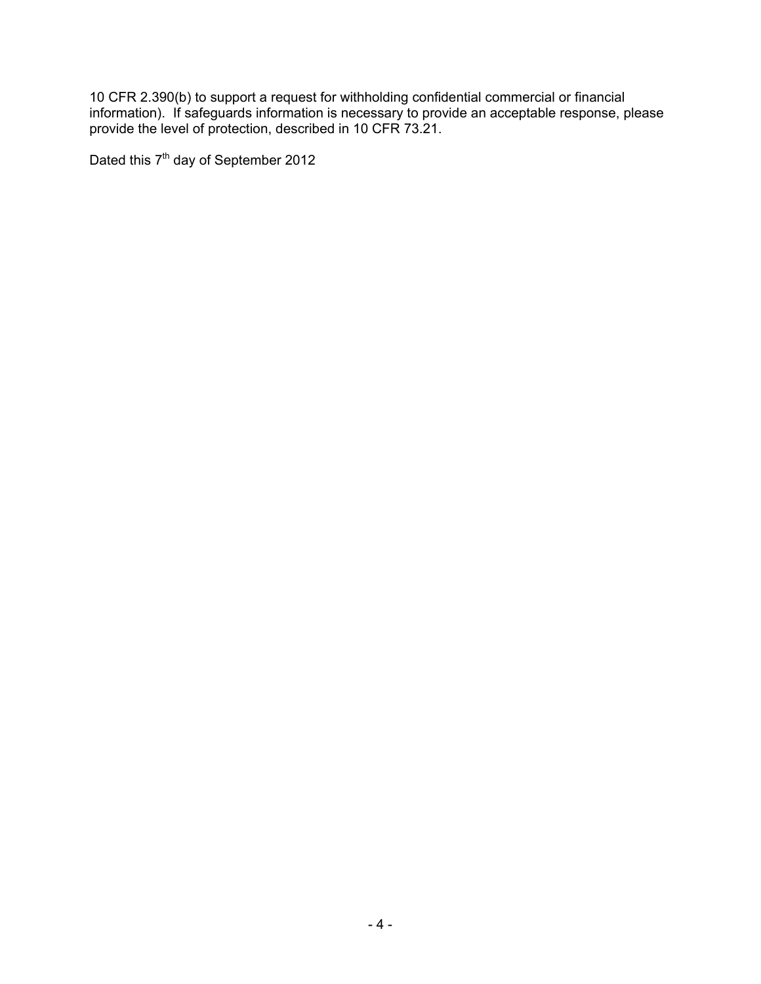10 CFR 2.390(b) to support a request for withholding confidential commercial or financial information). If safeguards information is necessary to provide an acceptable response, please provide the level of protection, described in 10 CFR 73.21.

Dated this 7<sup>th</sup> day of September 2012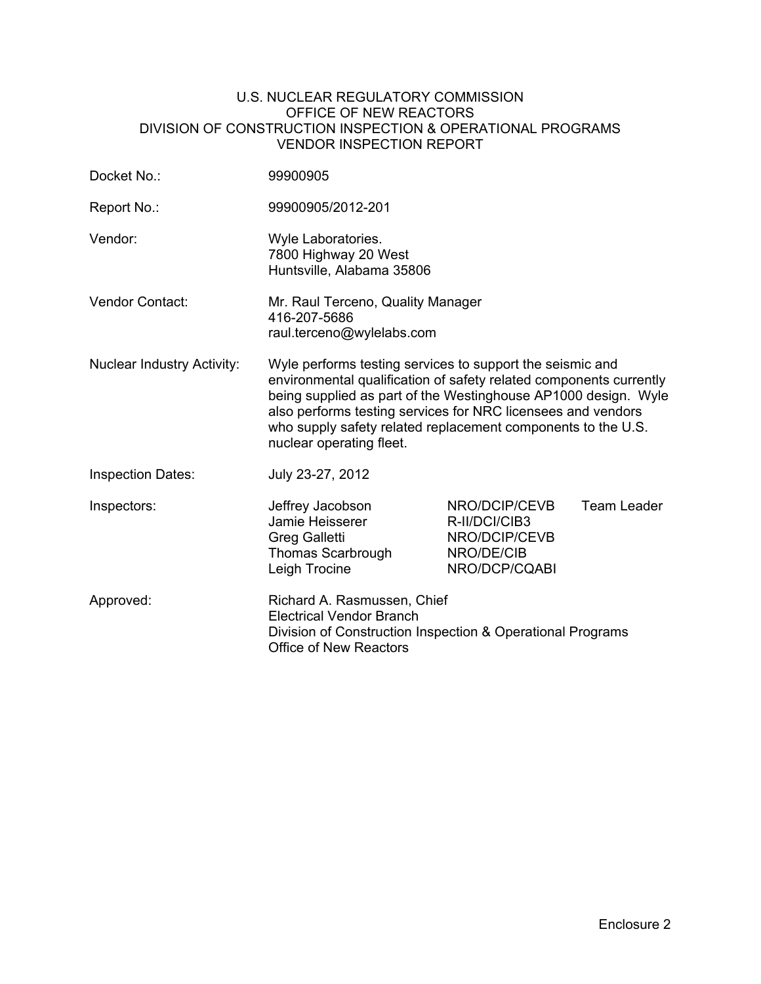#### U.S. NUCLEAR REGULATORY COMMISSION OFFICE OF NEW REACTORS DIVISION OF CONSTRUCTION INSPECTION & OPERATIONAL PROGRAMS VENDOR INSPECTION REPORT

| Docket No.:                       | 99900905                                                                                                                                                                                                                                                                                                                                                      |                                                                                |             |
|-----------------------------------|---------------------------------------------------------------------------------------------------------------------------------------------------------------------------------------------------------------------------------------------------------------------------------------------------------------------------------------------------------------|--------------------------------------------------------------------------------|-------------|
| Report No.:                       | 99900905/2012-201                                                                                                                                                                                                                                                                                                                                             |                                                                                |             |
| Vendor:                           | Wyle Laboratories.<br>7800 Highway 20 West<br>Huntsville, Alabama 35806                                                                                                                                                                                                                                                                                       |                                                                                |             |
| Vendor Contact:                   | Mr. Raul Terceno, Quality Manager<br>416-207-5686<br>raul.terceno@wylelabs.com                                                                                                                                                                                                                                                                                |                                                                                |             |
| <b>Nuclear Industry Activity:</b> | Wyle performs testing services to support the seismic and<br>environmental qualification of safety related components currently<br>being supplied as part of the Westinghouse AP1000 design. Wyle<br>also performs testing services for NRC licensees and vendors<br>who supply safety related replacement components to the U.S.<br>nuclear operating fleet. |                                                                                |             |
| <b>Inspection Dates:</b>          | July 23-27, 2012                                                                                                                                                                                                                                                                                                                                              |                                                                                |             |
| Inspectors:                       | Jeffrey Jacobson<br>Jamie Heisserer<br><b>Greg Galletti</b><br>Thomas Scarbrough<br>Leigh Trocine                                                                                                                                                                                                                                                             | NRO/DCIP/CEVB<br>R-II/DCI/CIB3<br>NRO/DCIP/CEVB<br>NRO/DE/CIB<br>NRO/DCP/CQABI | Team Leader |
| Approved:                         | Richard A. Rasmussen, Chief<br><b>Electrical Vendor Branch</b><br>Division of Construction Inspection & Operational Programs<br><b>Office of New Reactors</b>                                                                                                                                                                                                 |                                                                                |             |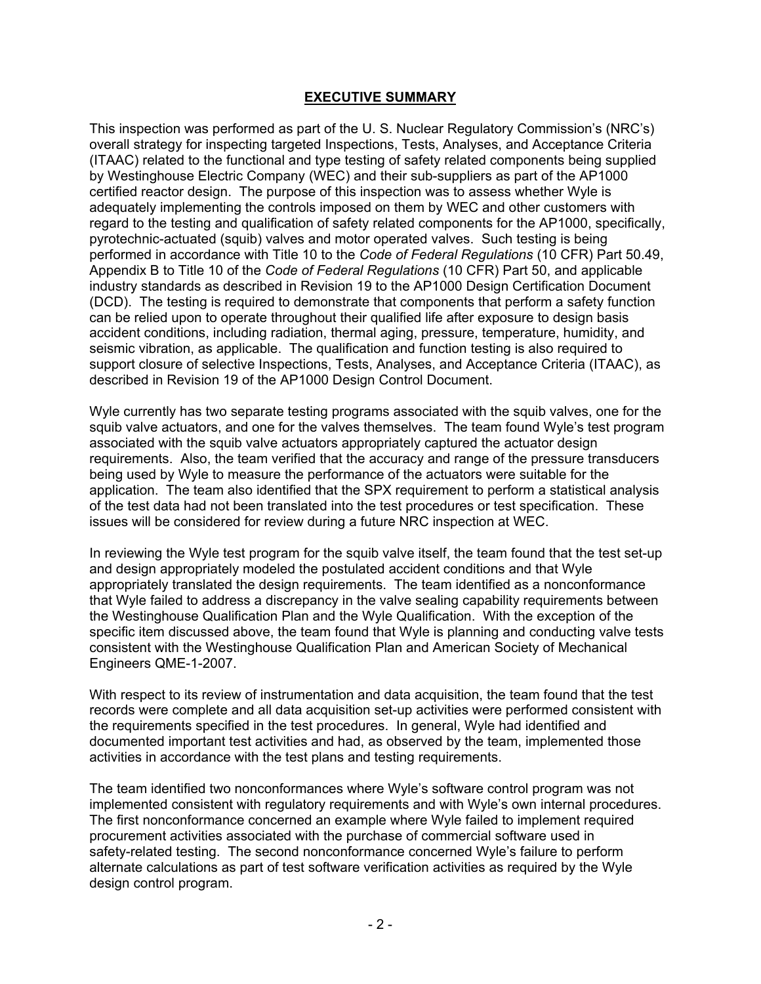#### **EXECUTIVE SUMMARY**

This inspection was performed as part of the U. S. Nuclear Regulatory Commission's (NRC's) overall strategy for inspecting targeted Inspections, Tests, Analyses, and Acceptance Criteria (ITAAC) related to the functional and type testing of safety related components being supplied by Westinghouse Electric Company (WEC) and their sub-suppliers as part of the AP1000 certified reactor design. The purpose of this inspection was to assess whether Wyle is adequately implementing the controls imposed on them by WEC and other customers with regard to the testing and qualification of safety related components for the AP1000, specifically, pyrotechnic-actuated (squib) valves and motor operated valves. Such testing is being performed in accordance with Title 10 to the *Code of Federal Regulations* (10 CFR) Part 50.49, Appendix B to Title 10 of the *Code of Federal Regulations* (10 CFR) Part 50, and applicable industry standards as described in Revision 19 to the AP1000 Design Certification Document (DCD). The testing is required to demonstrate that components that perform a safety function can be relied upon to operate throughout their qualified life after exposure to design basis accident conditions, including radiation, thermal aging, pressure, temperature, humidity, and seismic vibration, as applicable. The qualification and function testing is also required to support closure of selective Inspections, Tests, Analyses, and Acceptance Criteria (ITAAC), as described in Revision 19 of the AP1000 Design Control Document.

Wyle currently has two separate testing programs associated with the squib valves, one for the squib valve actuators, and one for the valves themselves. The team found Wyle's test program associated with the squib valve actuators appropriately captured the actuator design requirements. Also, the team verified that the accuracy and range of the pressure transducers being used by Wyle to measure the performance of the actuators were suitable for the application. The team also identified that the SPX requirement to perform a statistical analysis of the test data had not been translated into the test procedures or test specification. These issues will be considered for review during a future NRC inspection at WEC.

In reviewing the Wyle test program for the squib valve itself, the team found that the test set-up and design appropriately modeled the postulated accident conditions and that Wyle appropriately translated the design requirements. The team identified as a nonconformance that Wyle failed to address a discrepancy in the valve sealing capability requirements between the Westinghouse Qualification Plan and the Wyle Qualification. With the exception of the specific item discussed above, the team found that Wyle is planning and conducting valve tests consistent with the Westinghouse Qualification Plan and American Society of Mechanical Engineers QME-1-2007.

With respect to its review of instrumentation and data acquisition, the team found that the test records were complete and all data acquisition set-up activities were performed consistent with the requirements specified in the test procedures. In general, Wyle had identified and documented important test activities and had, as observed by the team, implemented those activities in accordance with the test plans and testing requirements.

The team identified two nonconformances where Wyle's software control program was not implemented consistent with regulatory requirements and with Wyle's own internal procedures. The first nonconformance concerned an example where Wyle failed to implement required procurement activities associated with the purchase of commercial software used in safety-related testing. The second nonconformance concerned Wyle's failure to perform alternate calculations as part of test software verification activities as required by the Wyle design control program.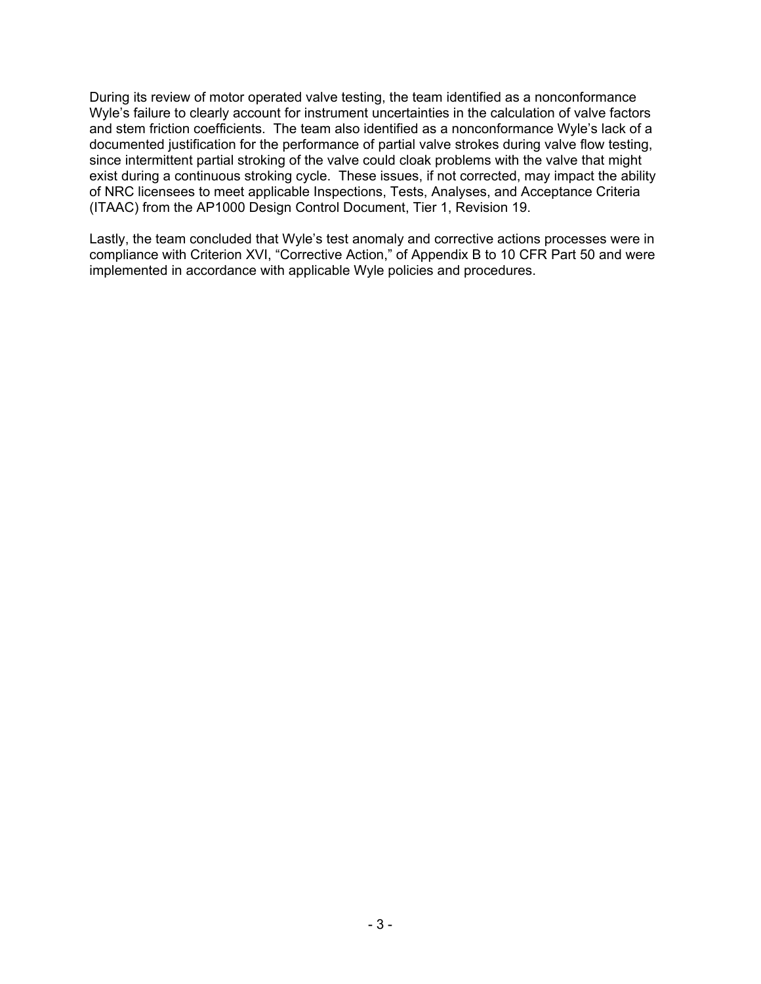During its review of motor operated valve testing, the team identified as a nonconformance Wyle's failure to clearly account for instrument uncertainties in the calculation of valve factors and stem friction coefficients. The team also identified as a nonconformance Wyle's lack of a documented justification for the performance of partial valve strokes during valve flow testing, since intermittent partial stroking of the valve could cloak problems with the valve that might exist during a continuous stroking cycle. These issues, if not corrected, may impact the ability of NRC licensees to meet applicable Inspections, Tests, Analyses, and Acceptance Criteria (ITAAC) from the AP1000 Design Control Document, Tier 1, Revision 19.

Lastly, the team concluded that Wyle's test anomaly and corrective actions processes were in compliance with Criterion XVI, "Corrective Action," of Appendix B to 10 CFR Part 50 and were implemented in accordance with applicable Wyle policies and procedures.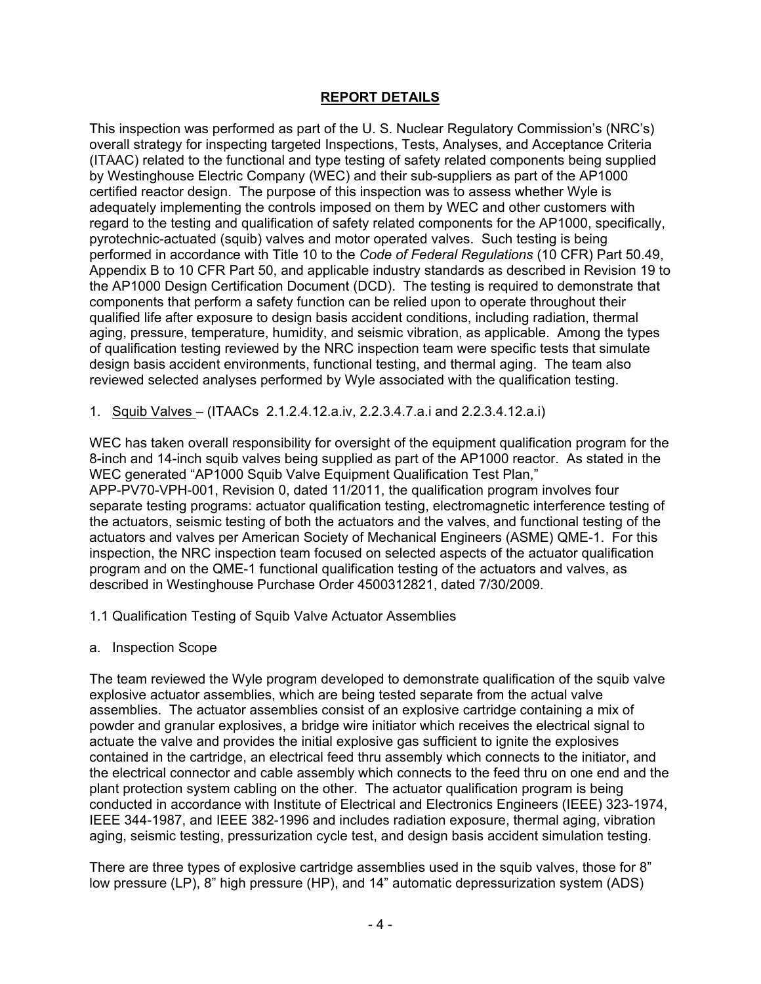### **REPORT DETAILS**

This inspection was performed as part of the U. S. Nuclear Regulatory Commission's (NRC's) overall strategy for inspecting targeted Inspections, Tests, Analyses, and Acceptance Criteria (ITAAC) related to the functional and type testing of safety related components being supplied by Westinghouse Electric Company (WEC) and their sub-suppliers as part of the AP1000 certified reactor design. The purpose of this inspection was to assess whether Wyle is adequately implementing the controls imposed on them by WEC and other customers with regard to the testing and qualification of safety related components for the AP1000, specifically, pyrotechnic-actuated (squib) valves and motor operated valves. Such testing is being performed in accordance with Title 10 to the *Code of Federal Regulations* (10 CFR) Part 50.49, Appendix B to 10 CFR Part 50, and applicable industry standards as described in Revision 19 to the AP1000 Design Certification Document (DCD). The testing is required to demonstrate that components that perform a safety function can be relied upon to operate throughout their qualified life after exposure to design basis accident conditions, including radiation, thermal aging, pressure, temperature, humidity, and seismic vibration, as applicable. Among the types of qualification testing reviewed by the NRC inspection team were specific tests that simulate design basis accident environments, functional testing, and thermal aging. The team also reviewed selected analyses performed by Wyle associated with the qualification testing.

1. Squib Valves – (ITAACs 2.1.2.4.12.a.iv, 2.2.3.4.7.a.i and 2.2.3.4.12.a.i)

WEC has taken overall responsibility for oversight of the equipment qualification program for the 8-inch and 14-inch squib valves being supplied as part of the AP1000 reactor. As stated in the WEC generated "AP1000 Squib Valve Equipment Qualification Test Plan," APP-PV70-VPH-001, Revision 0, dated 11/2011, the qualification program involves four separate testing programs: actuator qualification testing, electromagnetic interference testing of the actuators, seismic testing of both the actuators and the valves, and functional testing of the actuators and valves per American Society of Mechanical Engineers (ASME) QME-1. For this inspection, the NRC inspection team focused on selected aspects of the actuator qualification program and on the QME-1 functional qualification testing of the actuators and valves, as described in Westinghouse Purchase Order 4500312821, dated 7/30/2009.

- 1.1 Qualification Testing of Squib Valve Actuator Assemblies
- a. Inspection Scope

The team reviewed the Wyle program developed to demonstrate qualification of the squib valve explosive actuator assemblies, which are being tested separate from the actual valve assemblies. The actuator assemblies consist of an explosive cartridge containing a mix of powder and granular explosives, a bridge wire initiator which receives the electrical signal to actuate the valve and provides the initial explosive gas sufficient to ignite the explosives contained in the cartridge, an electrical feed thru assembly which connects to the initiator, and the electrical connector and cable assembly which connects to the feed thru on one end and the plant protection system cabling on the other. The actuator qualification program is being conducted in accordance with Institute of Electrical and Electronics Engineers (IEEE) 323-1974, IEEE 344-1987, and IEEE 382-1996 and includes radiation exposure, thermal aging, vibration aging, seismic testing, pressurization cycle test, and design basis accident simulation testing.

There are three types of explosive cartridge assemblies used in the squib valves, those for 8" low pressure (LP), 8" high pressure (HP), and 14" automatic depressurization system (ADS)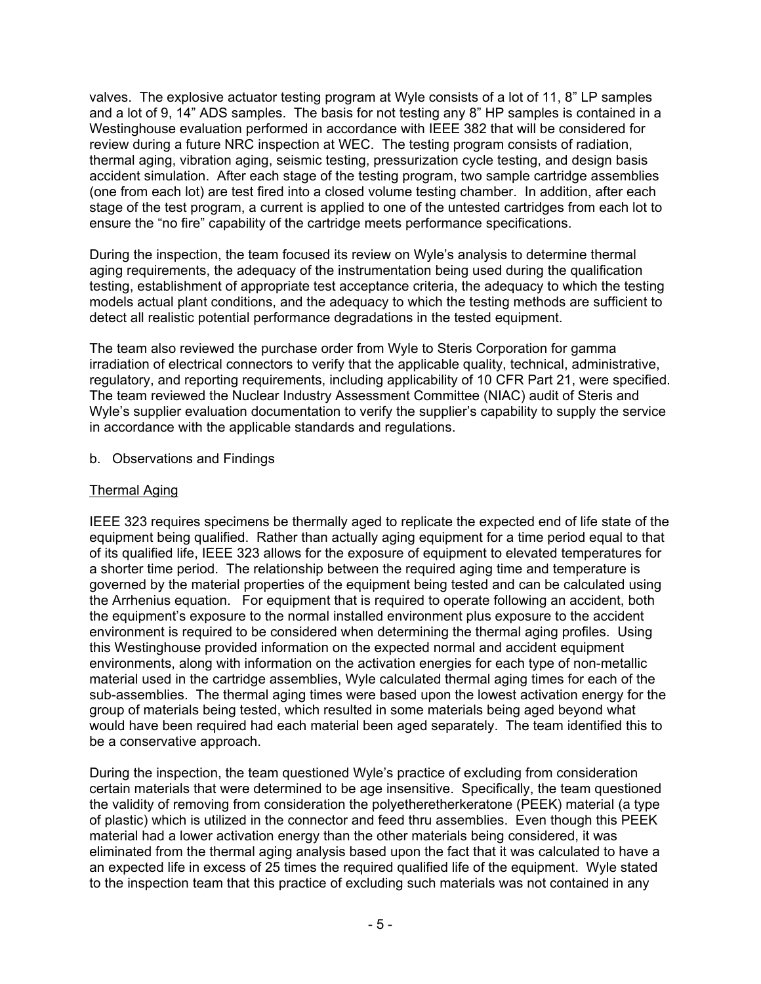valves. The explosive actuator testing program at Wyle consists of a lot of 11, 8" LP samples and a lot of 9, 14" ADS samples. The basis for not testing any 8" HP samples is contained in a Westinghouse evaluation performed in accordance with IEEE 382 that will be considered for review during a future NRC inspection at WEC. The testing program consists of radiation, thermal aging, vibration aging, seismic testing, pressurization cycle testing, and design basis accident simulation. After each stage of the testing program, two sample cartridge assemblies (one from each lot) are test fired into a closed volume testing chamber. In addition, after each stage of the test program, a current is applied to one of the untested cartridges from each lot to ensure the "no fire" capability of the cartridge meets performance specifications.

During the inspection, the team focused its review on Wyle's analysis to determine thermal aging requirements, the adequacy of the instrumentation being used during the qualification testing, establishment of appropriate test acceptance criteria, the adequacy to which the testing models actual plant conditions, and the adequacy to which the testing methods are sufficient to detect all realistic potential performance degradations in the tested equipment.

The team also reviewed the purchase order from Wyle to Steris Corporation for gamma irradiation of electrical connectors to verify that the applicable quality, technical, administrative, regulatory, and reporting requirements, including applicability of 10 CFR Part 21, were specified. The team reviewed the Nuclear Industry Assessment Committee (NIAC) audit of Steris and Wyle's supplier evaluation documentation to verify the supplier's capability to supply the service in accordance with the applicable standards and regulations.

b. Observations and Findings

## Thermal Aging

IEEE 323 requires specimens be thermally aged to replicate the expected end of life state of the equipment being qualified. Rather than actually aging equipment for a time period equal to that of its qualified life, IEEE 323 allows for the exposure of equipment to elevated temperatures for a shorter time period. The relationship between the required aging time and temperature is governed by the material properties of the equipment being tested and can be calculated using the Arrhenius equation. For equipment that is required to operate following an accident, both the equipment's exposure to the normal installed environment plus exposure to the accident environment is required to be considered when determining the thermal aging profiles. Using this Westinghouse provided information on the expected normal and accident equipment environments, along with information on the activation energies for each type of non-metallic material used in the cartridge assemblies, Wyle calculated thermal aging times for each of the sub-assemblies. The thermal aging times were based upon the lowest activation energy for the group of materials being tested, which resulted in some materials being aged beyond what would have been required had each material been aged separately. The team identified this to be a conservative approach.

During the inspection, the team questioned Wyle's practice of excluding from consideration certain materials that were determined to be age insensitive. Specifically, the team questioned the validity of removing from consideration the polyetheretherkeratone (PEEK) material (a type of plastic) which is utilized in the connector and feed thru assemblies. Even though this PEEK material had a lower activation energy than the other materials being considered, it was eliminated from the thermal aging analysis based upon the fact that it was calculated to have a an expected life in excess of 25 times the required qualified life of the equipment. Wyle stated to the inspection team that this practice of excluding such materials was not contained in any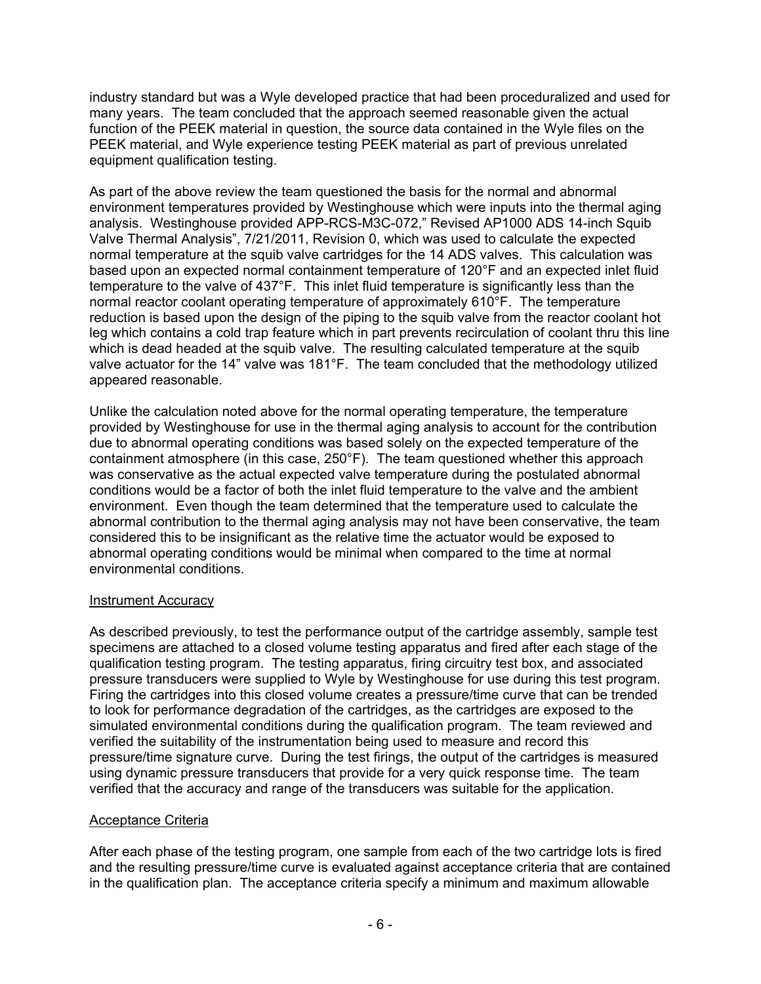industry standard but was a Wyle developed practice that had been proceduralized and used for many years. The team concluded that the approach seemed reasonable given the actual function of the PEEK material in question, the source data contained in the Wyle files on the PEEK material, and Wyle experience testing PEEK material as part of previous unrelated equipment qualification testing.

As part of the above review the team questioned the basis for the normal and abnormal environment temperatures provided by Westinghouse which were inputs into the thermal aging analysis. Westinghouse provided APP-RCS-M3C-072," Revised AP1000 ADS 14-inch Squib Valve Thermal Analysis", 7/21/2011, Revision 0, which was used to calculate the expected normal temperature at the squib valve cartridges for the 14 ADS valves. This calculation was based upon an expected normal containment temperature of 120°F and an expected inlet fluid temperature to the valve of 437°F. This inlet fluid temperature is significantly less than the normal reactor coolant operating temperature of approximately 610°F. The temperature reduction is based upon the design of the piping to the squib valve from the reactor coolant hot leg which contains a cold trap feature which in part prevents recirculation of coolant thru this line which is dead headed at the squib valve. The resulting calculated temperature at the squib valve actuator for the 14" valve was 181°F. The team concluded that the methodology utilized appeared reasonable.

Unlike the calculation noted above for the normal operating temperature, the temperature provided by Westinghouse for use in the thermal aging analysis to account for the contribution due to abnormal operating conditions was based solely on the expected temperature of the containment atmosphere (in this case, 250°F). The team questioned whether this approach was conservative as the actual expected valve temperature during the postulated abnormal conditions would be a factor of both the inlet fluid temperature to the valve and the ambient environment. Even though the team determined that the temperature used to calculate the abnormal contribution to the thermal aging analysis may not have been conservative, the team considered this to be insignificant as the relative time the actuator would be exposed to abnormal operating conditions would be minimal when compared to the time at normal environmental conditions.

## Instrument Accuracy

As described previously, to test the performance output of the cartridge assembly, sample test specimens are attached to a closed volume testing apparatus and fired after each stage of the qualification testing program. The testing apparatus, firing circuitry test box, and associated pressure transducers were supplied to Wyle by Westinghouse for use during this test program. Firing the cartridges into this closed volume creates a pressure/time curve that can be trended to look for performance degradation of the cartridges, as the cartridges are exposed to the simulated environmental conditions during the qualification program. The team reviewed and verified the suitability of the instrumentation being used to measure and record this pressure/time signature curve. During the test firings, the output of the cartridges is measured using dynamic pressure transducers that provide for a very quick response time. The team verified that the accuracy and range of the transducers was suitable for the application.

#### Acceptance Criteria

After each phase of the testing program, one sample from each of the two cartridge lots is fired and the resulting pressure/time curve is evaluated against acceptance criteria that are contained in the qualification plan. The acceptance criteria specify a minimum and maximum allowable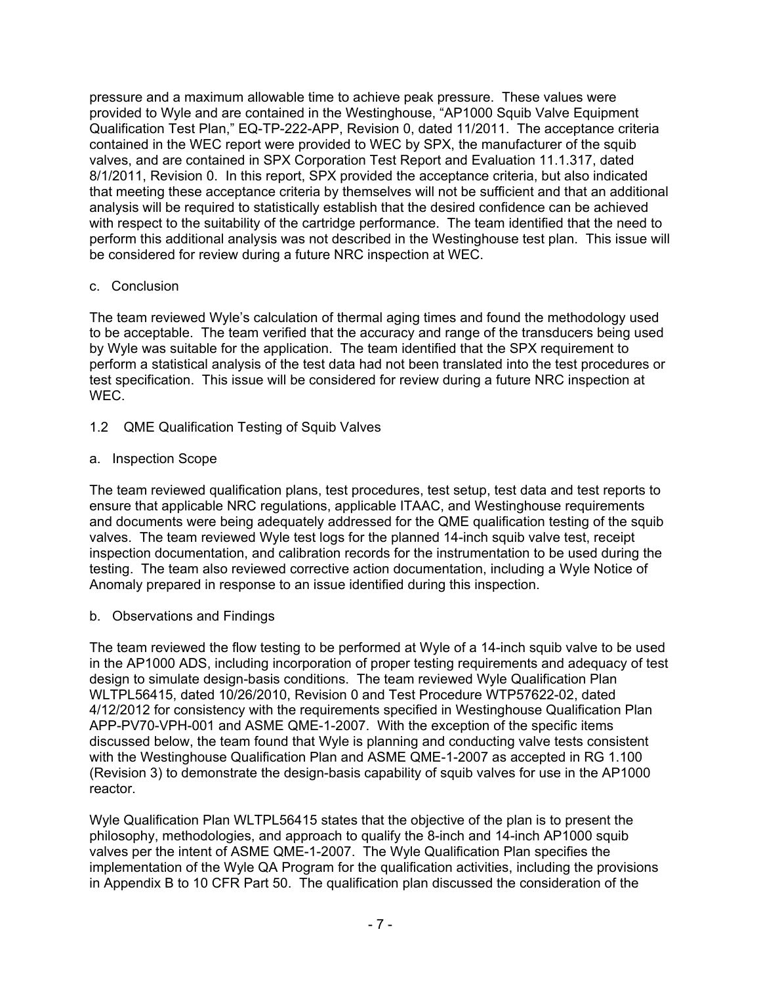pressure and a maximum allowable time to achieve peak pressure. These values were provided to Wyle and are contained in the Westinghouse, "AP1000 Squib Valve Equipment Qualification Test Plan," EQ-TP-222-APP, Revision 0, dated 11/2011. The acceptance criteria contained in the WEC report were provided to WEC by SPX, the manufacturer of the squib valves, and are contained in SPX Corporation Test Report and Evaluation 11.1.317, dated 8/1/2011, Revision 0. In this report, SPX provided the acceptance criteria, but also indicated that meeting these acceptance criteria by themselves will not be sufficient and that an additional analysis will be required to statistically establish that the desired confidence can be achieved with respect to the suitability of the cartridge performance. The team identified that the need to perform this additional analysis was not described in the Westinghouse test plan. This issue will be considered for review during a future NRC inspection at WEC.

## c. Conclusion

The team reviewed Wyle's calculation of thermal aging times and found the methodology used to be acceptable. The team verified that the accuracy and range of the transducers being used by Wyle was suitable for the application. The team identified that the SPX requirement to perform a statistical analysis of the test data had not been translated into the test procedures or test specification. This issue will be considered for review during a future NRC inspection at WEC.

1.2 QME Qualification Testing of Squib Valves

## a. Inspection Scope

The team reviewed qualification plans, test procedures, test setup, test data and test reports to ensure that applicable NRC regulations, applicable ITAAC, and Westinghouse requirements and documents were being adequately addressed for the QME qualification testing of the squib valves. The team reviewed Wyle test logs for the planned 14-inch squib valve test, receipt inspection documentation, and calibration records for the instrumentation to be used during the testing. The team also reviewed corrective action documentation, including a Wyle Notice of Anomaly prepared in response to an issue identified during this inspection.

## b. Observations and Findings

The team reviewed the flow testing to be performed at Wyle of a 14-inch squib valve to be used in the AP1000 ADS, including incorporation of proper testing requirements and adequacy of test design to simulate design-basis conditions. The team reviewed Wyle Qualification Plan WLTPL56415, dated 10/26/2010, Revision 0 and Test Procedure WTP57622-02, dated 4/12/2012 for consistency with the requirements specified in Westinghouse Qualification Plan APP-PV70-VPH-001 and ASME QME-1-2007. With the exception of the specific items discussed below, the team found that Wyle is planning and conducting valve tests consistent with the Westinghouse Qualification Plan and ASME QME-1-2007 as accepted in RG 1.100 (Revision 3) to demonstrate the design-basis capability of squib valves for use in the AP1000 reactor.

Wyle Qualification Plan WLTPL56415 states that the objective of the plan is to present the philosophy, methodologies, and approach to qualify the 8-inch and 14-inch AP1000 squib valves per the intent of ASME QME-1-2007. The Wyle Qualification Plan specifies the implementation of the Wyle QA Program for the qualification activities, including the provisions in Appendix B to 10 CFR Part 50. The qualification plan discussed the consideration of the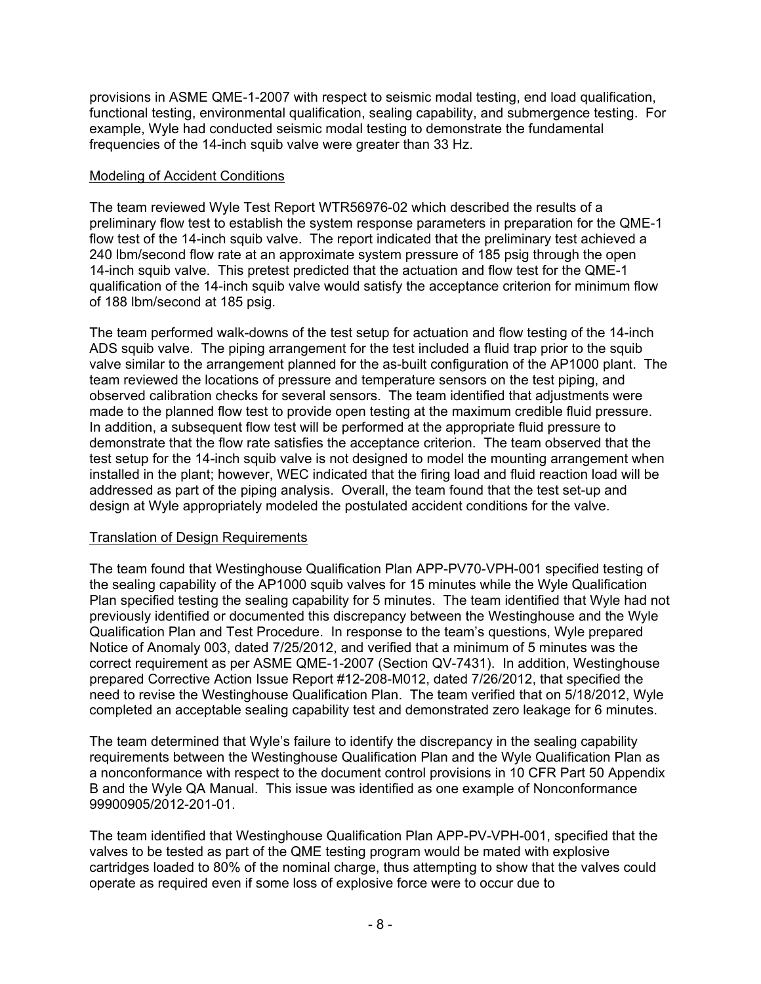provisions in ASME QME-1-2007 with respect to seismic modal testing, end load qualification, functional testing, environmental qualification, sealing capability, and submergence testing. For example, Wyle had conducted seismic modal testing to demonstrate the fundamental frequencies of the 14-inch squib valve were greater than 33 Hz.

#### Modeling of Accident Conditions

The team reviewed Wyle Test Report WTR56976-02 which described the results of a preliminary flow test to establish the system response parameters in preparation for the QME-1 flow test of the 14-inch squib valve. The report indicated that the preliminary test achieved a 240 lbm/second flow rate at an approximate system pressure of 185 psig through the open 14-inch squib valve. This pretest predicted that the actuation and flow test for the QME-1 qualification of the 14-inch squib valve would satisfy the acceptance criterion for minimum flow of 188 lbm/second at 185 psig.

The team performed walk-downs of the test setup for actuation and flow testing of the 14-inch ADS squib valve. The piping arrangement for the test included a fluid trap prior to the squib valve similar to the arrangement planned for the as-built configuration of the AP1000 plant. The team reviewed the locations of pressure and temperature sensors on the test piping, and observed calibration checks for several sensors. The team identified that adjustments were made to the planned flow test to provide open testing at the maximum credible fluid pressure. In addition, a subsequent flow test will be performed at the appropriate fluid pressure to demonstrate that the flow rate satisfies the acceptance criterion. The team observed that the test setup for the 14-inch squib valve is not designed to model the mounting arrangement when installed in the plant; however, WEC indicated that the firing load and fluid reaction load will be addressed as part of the piping analysis. Overall, the team found that the test set-up and design at Wyle appropriately modeled the postulated accident conditions for the valve.

#### Translation of Design Requirements

The team found that Westinghouse Qualification Plan APP-PV70-VPH-001 specified testing of the sealing capability of the AP1000 squib valves for 15 minutes while the Wyle Qualification Plan specified testing the sealing capability for 5 minutes. The team identified that Wyle had not previously identified or documented this discrepancy between the Westinghouse and the Wyle Qualification Plan and Test Procedure. In response to the team's questions, Wyle prepared Notice of Anomaly 003, dated 7/25/2012, and verified that a minimum of 5 minutes was the correct requirement as per ASME QME-1-2007 (Section QV-7431). In addition, Westinghouse prepared Corrective Action Issue Report #12-208-M012, dated 7/26/2012, that specified the need to revise the Westinghouse Qualification Plan. The team verified that on 5/18/2012, Wyle completed an acceptable sealing capability test and demonstrated zero leakage for 6 minutes.

The team determined that Wyle's failure to identify the discrepancy in the sealing capability requirements between the Westinghouse Qualification Plan and the Wyle Qualification Plan as a nonconformance with respect to the document control provisions in 10 CFR Part 50 Appendix B and the Wyle QA Manual. This issue was identified as one example of Nonconformance 99900905/2012-201-01.

The team identified that Westinghouse Qualification Plan APP-PV-VPH-001, specified that the valves to be tested as part of the QME testing program would be mated with explosive cartridges loaded to 80% of the nominal charge, thus attempting to show that the valves could operate as required even if some loss of explosive force were to occur due to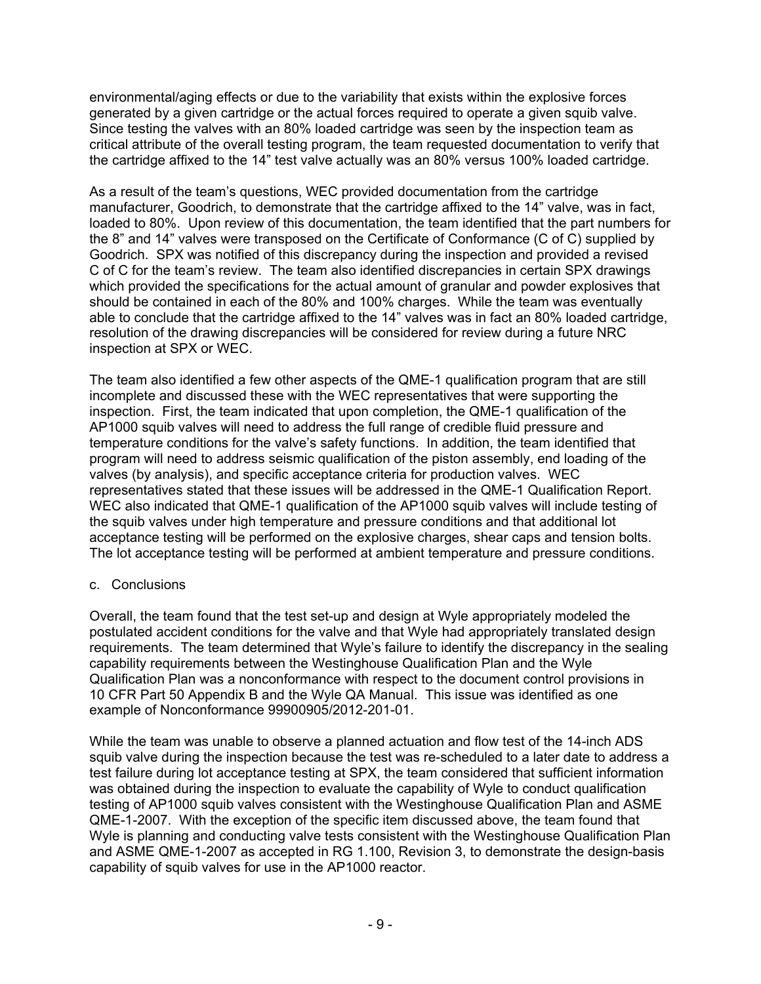environmental/aging effects or due to the variability that exists within the explosive forces generated by a given cartridge or the actual forces required to operate a given squib valve. Since testing the valves with an 80% loaded cartridge was seen by the inspection team as critical attribute of the overall testing program, the team requested documentation to verify that the cartridge affixed to the 14" test valve actually was an 80% versus 100% loaded cartridge.

As a result of the team's questions, WEC provided documentation from the cartridge manufacturer, Goodrich, to demonstrate that the cartridge affixed to the 14" valve, was in fact, loaded to 80%. Upon review of this documentation, the team identified that the part numbers for the 8" and 14" valves were transposed on the Certificate of Conformance (C of C) supplied by Goodrich. SPX was notified of this discrepancy during the inspection and provided a revised C of C for the team's review. The team also identified discrepancies in certain SPX drawings which provided the specifications for the actual amount of granular and powder explosives that should be contained in each of the 80% and 100% charges. While the team was eventually able to conclude that the cartridge affixed to the 14" valves was in fact an 80% loaded cartridge, resolution of the drawing discrepancies will be considered for review during a future NRC inspection at SPX or WEC.

The team also identified a few other aspects of the QME-1 qualification program that are still incomplete and discussed these with the WEC representatives that were supporting the inspection. First, the team indicated that upon completion, the QME-1 qualification of the AP1000 squib valves will need to address the full range of credible fluid pressure and temperature conditions for the valve's safety functions. In addition, the team identified that program will need to address seismic qualification of the piston assembly, end loading of the valves (by analysis), and specific acceptance criteria for production valves. WEC representatives stated that these issues will be addressed in the QME-1 Qualification Report. WEC also indicated that QME-1 qualification of the AP1000 squib valves will include testing of the squib valves under high temperature and pressure conditions and that additional lot acceptance testing will be performed on the explosive charges, shear caps and tension bolts. The lot acceptance testing will be performed at ambient temperature and pressure conditions.

## c. Conclusions

Overall, the team found that the test set-up and design at Wyle appropriately modeled the postulated accident conditions for the valve and that Wyle had appropriately translated design requirements. The team determined that Wyle's failure to identify the discrepancy in the sealing capability requirements between the Westinghouse Qualification Plan and the Wyle Qualification Plan was a nonconformance with respect to the document control provisions in 10 CFR Part 50 Appendix B and the Wyle QA Manual. This issue was identified as one example of Nonconformance 99900905/2012-201-01.

While the team was unable to observe a planned actuation and flow test of the 14-inch ADS squib valve during the inspection because the test was re-scheduled to a later date to address a test failure during lot acceptance testing at SPX, the team considered that sufficient information was obtained during the inspection to evaluate the capability of Wyle to conduct qualification testing of AP1000 squib valves consistent with the Westinghouse Qualification Plan and ASME QME-1-2007. With the exception of the specific item discussed above, the team found that Wyle is planning and conducting valve tests consistent with the Westinghouse Qualification Plan and ASME QME-1-2007 as accepted in RG 1.100, Revision 3, to demonstrate the design-basis capability of squib valves for use in the AP1000 reactor.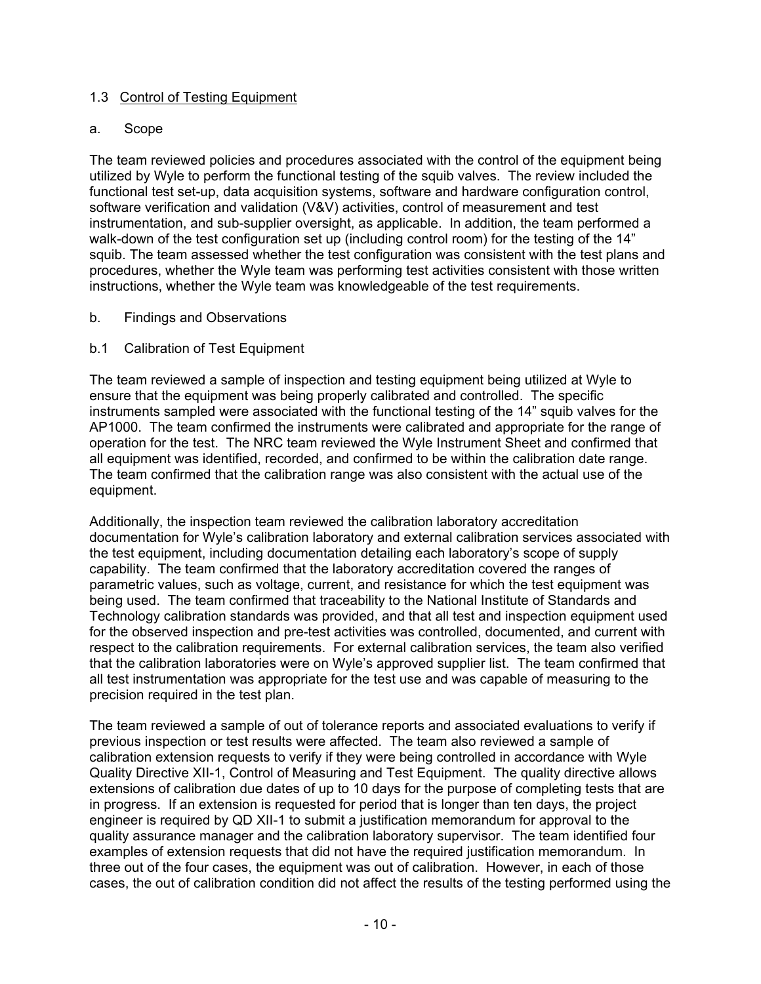### 1.3 Control of Testing Equipment

#### a. Scope

The team reviewed policies and procedures associated with the control of the equipment being utilized by Wyle to perform the functional testing of the squib valves. The review included the functional test set-up, data acquisition systems, software and hardware configuration control, software verification and validation (V&V) activities, control of measurement and test instrumentation, and sub-supplier oversight, as applicable. In addition, the team performed a walk-down of the test configuration set up (including control room) for the testing of the 14" squib. The team assessed whether the test configuration was consistent with the test plans and procedures, whether the Wyle team was performing test activities consistent with those written instructions, whether the Wyle team was knowledgeable of the test requirements.

b. Findings and Observations

## b.1 Calibration of Test Equipment

The team reviewed a sample of inspection and testing equipment being utilized at Wyle to ensure that the equipment was being properly calibrated and controlled. The specific instruments sampled were associated with the functional testing of the 14" squib valves for the AP1000. The team confirmed the instruments were calibrated and appropriate for the range of operation for the test. The NRC team reviewed the Wyle Instrument Sheet and confirmed that all equipment was identified, recorded, and confirmed to be within the calibration date range. The team confirmed that the calibration range was also consistent with the actual use of the equipment.

Additionally, the inspection team reviewed the calibration laboratory accreditation documentation for Wyle's calibration laboratory and external calibration services associated with the test equipment, including documentation detailing each laboratory's scope of supply capability. The team confirmed that the laboratory accreditation covered the ranges of parametric values, such as voltage, current, and resistance for which the test equipment was being used. The team confirmed that traceability to the National Institute of Standards and Technology calibration standards was provided, and that all test and inspection equipment used for the observed inspection and pre-test activities was controlled, documented, and current with respect to the calibration requirements. For external calibration services, the team also verified that the calibration laboratories were on Wyle's approved supplier list. The team confirmed that all test instrumentation was appropriate for the test use and was capable of measuring to the precision required in the test plan.

The team reviewed a sample of out of tolerance reports and associated evaluations to verify if previous inspection or test results were affected. The team also reviewed a sample of calibration extension requests to verify if they were being controlled in accordance with Wyle Quality Directive XII-1, Control of Measuring and Test Equipment. The quality directive allows extensions of calibration due dates of up to 10 days for the purpose of completing tests that are in progress. If an extension is requested for period that is longer than ten days, the project engineer is required by QD XII-1 to submit a justification memorandum for approval to the quality assurance manager and the calibration laboratory supervisor. The team identified four examples of extension requests that did not have the required justification memorandum. In three out of the four cases, the equipment was out of calibration. However, in each of those cases, the out of calibration condition did not affect the results of the testing performed using the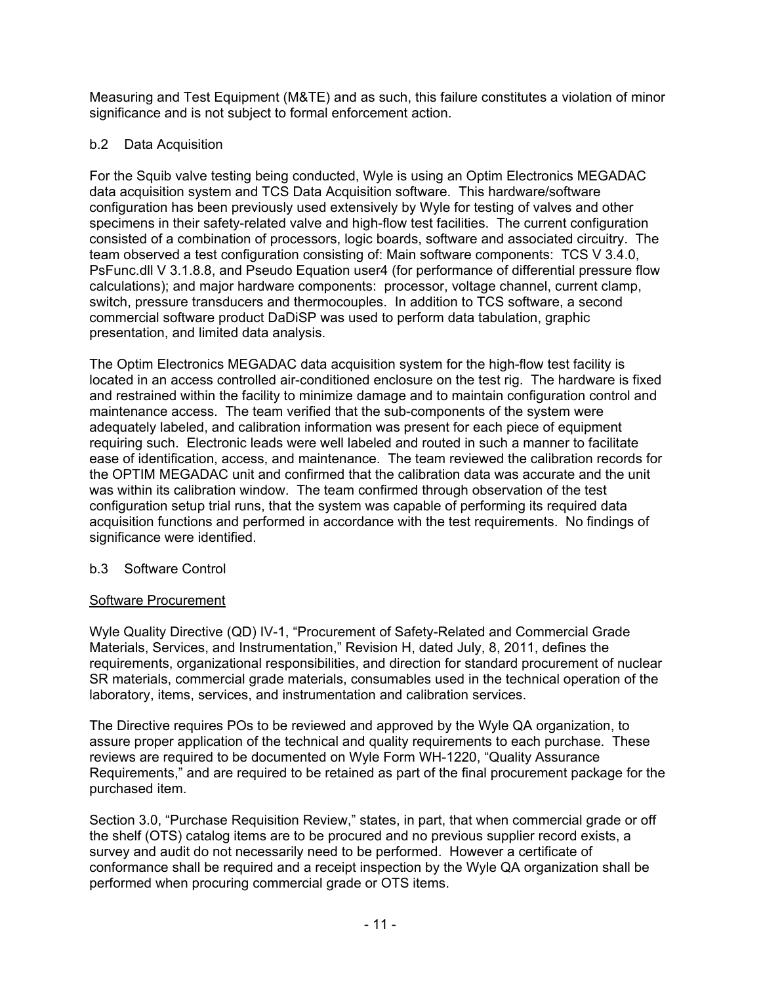Measuring and Test Equipment (M&TE) and as such, this failure constitutes a violation of minor significance and is not subject to formal enforcement action.

## b.2 Data Acquisition

For the Squib valve testing being conducted, Wyle is using an Optim Electronics MEGADAC data acquisition system and TCS Data Acquisition software. This hardware/software configuration has been previously used extensively by Wyle for testing of valves and other specimens in their safety-related valve and high-flow test facilities. The current configuration consisted of a combination of processors, logic boards, software and associated circuitry. The team observed a test configuration consisting of: Main software components: TCS V 3.4.0, PsFunc.dll V 3.1.8.8, and Pseudo Equation user4 (for performance of differential pressure flow calculations); and major hardware components: processor, voltage channel, current clamp, switch, pressure transducers and thermocouples. In addition to TCS software, a second commercial software product DaDiSP was used to perform data tabulation, graphic presentation, and limited data analysis.

The Optim Electronics MEGADAC data acquisition system for the high-flow test facility is located in an access controlled air-conditioned enclosure on the test rig. The hardware is fixed and restrained within the facility to minimize damage and to maintain configuration control and maintenance access. The team verified that the sub-components of the system were adequately labeled, and calibration information was present for each piece of equipment requiring such. Electronic leads were well labeled and routed in such a manner to facilitate ease of identification, access, and maintenance. The team reviewed the calibration records for the OPTIM MEGADAC unit and confirmed that the calibration data was accurate and the unit was within its calibration window. The team confirmed through observation of the test configuration setup trial runs, that the system was capable of performing its required data acquisition functions and performed in accordance with the test requirements. No findings of significance were identified.

## b.3 Software Control

## Software Procurement

Wyle Quality Directive (QD) IV-1, "Procurement of Safety-Related and Commercial Grade Materials, Services, and Instrumentation," Revision H, dated July, 8, 2011, defines the requirements, organizational responsibilities, and direction for standard procurement of nuclear SR materials, commercial grade materials, consumables used in the technical operation of the laboratory, items, services, and instrumentation and calibration services.

The Directive requires POs to be reviewed and approved by the Wyle QA organization, to assure proper application of the technical and quality requirements to each purchase. These reviews are required to be documented on Wyle Form WH-1220, "Quality Assurance Requirements," and are required to be retained as part of the final procurement package for the purchased item.

Section 3.0, "Purchase Requisition Review," states, in part, that when commercial grade or off the shelf (OTS) catalog items are to be procured and no previous supplier record exists, a survey and audit do not necessarily need to be performed. However a certificate of conformance shall be required and a receipt inspection by the Wyle QA organization shall be performed when procuring commercial grade or OTS items.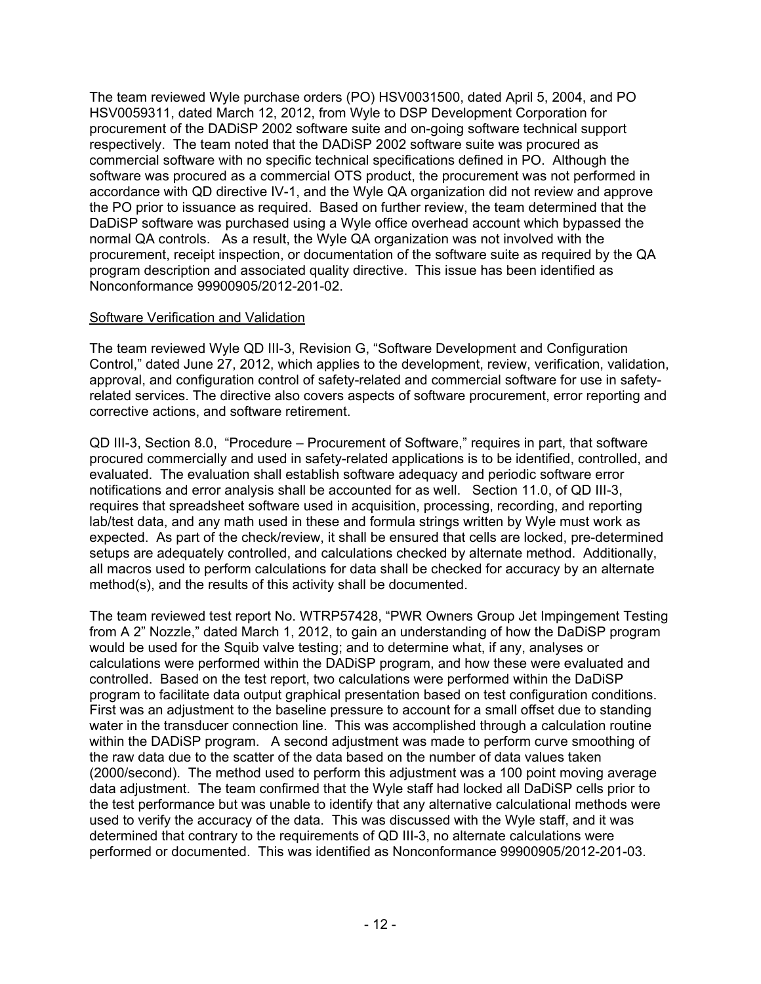The team reviewed Wyle purchase orders (PO) HSV0031500, dated April 5, 2004, and PO HSV0059311, dated March 12, 2012, from Wyle to DSP Development Corporation for procurement of the DADiSP 2002 software suite and on-going software technical support respectively. The team noted that the DADiSP 2002 software suite was procured as commercial software with no specific technical specifications defined in PO. Although the software was procured as a commercial OTS product, the procurement was not performed in accordance with QD directive IV-1, and the Wyle QA organization did not review and approve the PO prior to issuance as required. Based on further review, the team determined that the DaDiSP software was purchased using a Wyle office overhead account which bypassed the normal QA controls. As a result, the Wyle QA organization was not involved with the procurement, receipt inspection, or documentation of the software suite as required by the QA program description and associated quality directive. This issue has been identified as Nonconformance 99900905/2012-201-02.

### Software Verification and Validation

The team reviewed Wyle QD III-3, Revision G, "Software Development and Configuration Control," dated June 27, 2012, which applies to the development, review, verification, validation, approval, and configuration control of safety-related and commercial software for use in safetyrelated services. The directive also covers aspects of software procurement, error reporting and corrective actions, and software retirement.

QD III-3, Section 8.0, "Procedure – Procurement of Software," requires in part, that software procured commercially and used in safety-related applications is to be identified, controlled, and evaluated. The evaluation shall establish software adequacy and periodic software error notifications and error analysis shall be accounted for as well. Section 11.0, of QD III-3, requires that spreadsheet software used in acquisition, processing, recording, and reporting lab/test data, and any math used in these and formula strings written by Wyle must work as expected. As part of the check/review, it shall be ensured that cells are locked, pre-determined setups are adequately controlled, and calculations checked by alternate method. Additionally, all macros used to perform calculations for data shall be checked for accuracy by an alternate method(s), and the results of this activity shall be documented.

The team reviewed test report No. WTRP57428, "PWR Owners Group Jet Impingement Testing from A 2" Nozzle," dated March 1, 2012, to gain an understanding of how the DaDiSP program would be used for the Squib valve testing; and to determine what, if any, analyses or calculations were performed within the DADiSP program, and how these were evaluated and controlled. Based on the test report, two calculations were performed within the DaDiSP program to facilitate data output graphical presentation based on test configuration conditions. First was an adjustment to the baseline pressure to account for a small offset due to standing water in the transducer connection line. This was accomplished through a calculation routine within the DADiSP program. A second adjustment was made to perform curve smoothing of the raw data due to the scatter of the data based on the number of data values taken (2000/second). The method used to perform this adjustment was a 100 point moving average data adjustment. The team confirmed that the Wyle staff had locked all DaDiSP cells prior to the test performance but was unable to identify that any alternative calculational methods were used to verify the accuracy of the data. This was discussed with the Wyle staff, and it was determined that contrary to the requirements of QD III-3, no alternate calculations were performed or documented. This was identified as Nonconformance 99900905/2012-201-03.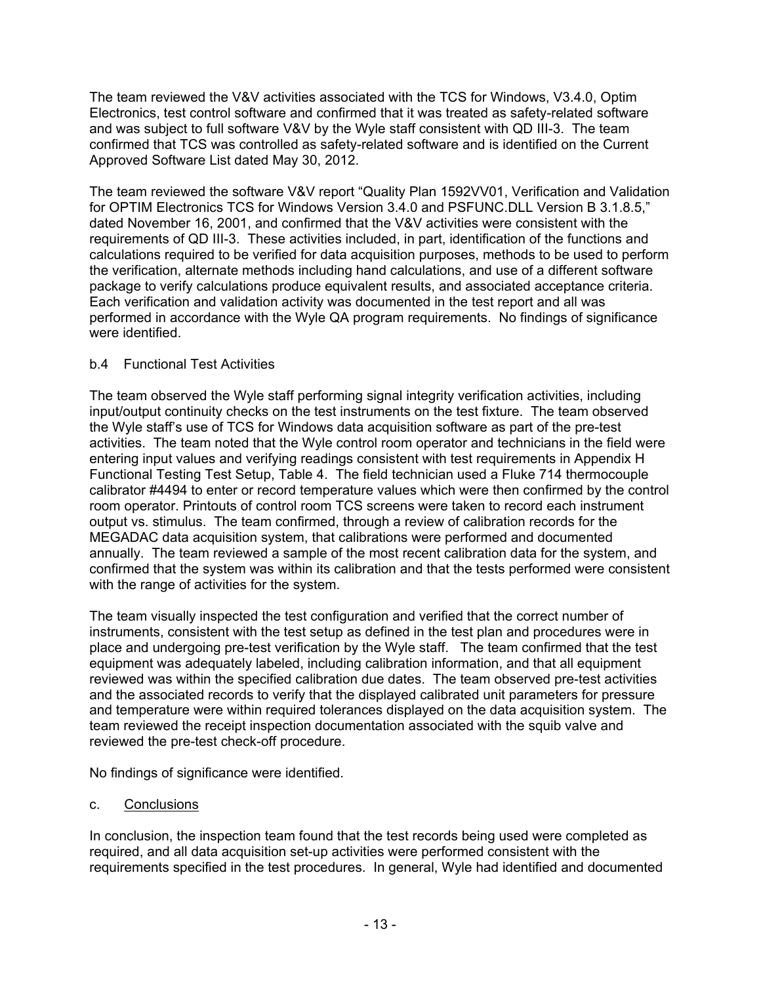The team reviewed the V&V activities associated with the TCS for Windows, V3.4.0, Optim Electronics, test control software and confirmed that it was treated as safety-related software and was subject to full software V&V by the Wyle staff consistent with QD III-3. The team confirmed that TCS was controlled as safety-related software and is identified on the Current Approved Software List dated May 30, 2012.

The team reviewed the software V&V report "Quality Plan 1592VV01, Verification and Validation for OPTIM Electronics TCS for Windows Version 3.4.0 and PSFUNC.DLL Version B 3.1.8.5," dated November 16, 2001, and confirmed that the V&V activities were consistent with the requirements of QD III-3. These activities included, in part, identification of the functions and calculations required to be verified for data acquisition purposes, methods to be used to perform the verification, alternate methods including hand calculations, and use of a different software package to verify calculations produce equivalent results, and associated acceptance criteria. Each verification and validation activity was documented in the test report and all was performed in accordance with the Wyle QA program requirements. No findings of significance were identified.

## b.4 Functional Test Activities

The team observed the Wyle staff performing signal integrity verification activities, including input/output continuity checks on the test instruments on the test fixture. The team observed the Wyle staff's use of TCS for Windows data acquisition software as part of the pre-test activities. The team noted that the Wyle control room operator and technicians in the field were entering input values and verifying readings consistent with test requirements in Appendix H Functional Testing Test Setup, Table 4. The field technician used a Fluke 714 thermocouple calibrator #4494 to enter or record temperature values which were then confirmed by the control room operator. Printouts of control room TCS screens were taken to record each instrument output vs. stimulus. The team confirmed, through a review of calibration records for the MEGADAC data acquisition system, that calibrations were performed and documented annually. The team reviewed a sample of the most recent calibration data for the system, and confirmed that the system was within its calibration and that the tests performed were consistent with the range of activities for the system.

The team visually inspected the test configuration and verified that the correct number of instruments, consistent with the test setup as defined in the test plan and procedures were in place and undergoing pre-test verification by the Wyle staff. The team confirmed that the test equipment was adequately labeled, including calibration information, and that all equipment reviewed was within the specified calibration due dates. The team observed pre-test activities and the associated records to verify that the displayed calibrated unit parameters for pressure and temperature were within required tolerances displayed on the data acquisition system. The team reviewed the receipt inspection documentation associated with the squib valve and reviewed the pre-test check-off procedure.

No findings of significance were identified.

## c. Conclusions

In conclusion, the inspection team found that the test records being used were completed as required, and all data acquisition set-up activities were performed consistent with the requirements specified in the test procedures. In general, Wyle had identified and documented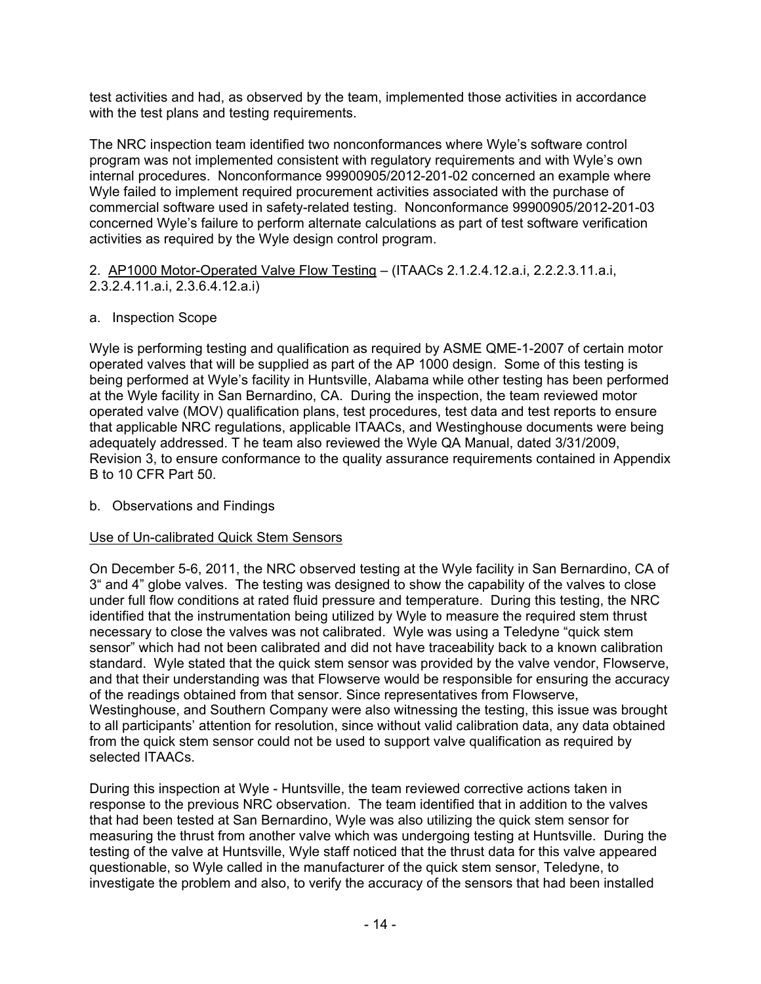test activities and had, as observed by the team, implemented those activities in accordance with the test plans and testing requirements.

The NRC inspection team identified two nonconformances where Wyle's software control program was not implemented consistent with regulatory requirements and with Wyle's own internal procedures. Nonconformance 99900905/2012-201-02 concerned an example where Wyle failed to implement required procurement activities associated with the purchase of commercial software used in safety-related testing. Nonconformance 99900905/2012-201-03 concerned Wyle's failure to perform alternate calculations as part of test software verification activities as required by the Wyle design control program.

2. AP1000 Motor-Operated Valve Flow Testing – (ITAACs 2.1.2.4.12.a.i, 2.2.2.3.11.a.i, 2.3.2.4.11.a.i, 2.3.6.4.12.a.i)

a. Inspection Scope

Wyle is performing testing and qualification as required by ASME QME-1-2007 of certain motor operated valves that will be supplied as part of the AP 1000 design. Some of this testing is being performed at Wyle's facility in Huntsville, Alabama while other testing has been performed at the Wyle facility in San Bernardino, CA. During the inspection, the team reviewed motor operated valve (MOV) qualification plans, test procedures, test data and test reports to ensure that applicable NRC regulations, applicable ITAACs, and Westinghouse documents were being adequately addressed. T he team also reviewed the Wyle QA Manual, dated 3/31/2009, Revision 3, to ensure conformance to the quality assurance requirements contained in Appendix B to 10 CFR Part 50.

## b. Observations and Findings

## Use of Un-calibrated Quick Stem Sensors

On December 5-6, 2011, the NRC observed testing at the Wyle facility in San Bernardino, CA of 3" and 4" globe valves. The testing was designed to show the capability of the valves to close under full flow conditions at rated fluid pressure and temperature. During this testing, the NRC identified that the instrumentation being utilized by Wyle to measure the required stem thrust necessary to close the valves was not calibrated. Wyle was using a Teledyne "quick stem sensor" which had not been calibrated and did not have traceability back to a known calibration standard. Wyle stated that the quick stem sensor was provided by the valve vendor, Flowserve, and that their understanding was that Flowserve would be responsible for ensuring the accuracy of the readings obtained from that sensor. Since representatives from Flowserve, Westinghouse, and Southern Company were also witnessing the testing, this issue was brought to all participants' attention for resolution, since without valid calibration data, any data obtained from the quick stem sensor could not be used to support valve qualification as required by selected ITAACs.

During this inspection at Wyle - Huntsville, the team reviewed corrective actions taken in response to the previous NRC observation. The team identified that in addition to the valves that had been tested at San Bernardino, Wyle was also utilizing the quick stem sensor for measuring the thrust from another valve which was undergoing testing at Huntsville. During the testing of the valve at Huntsville, Wyle staff noticed that the thrust data for this valve appeared questionable, so Wyle called in the manufacturer of the quick stem sensor, Teledyne, to investigate the problem and also, to verify the accuracy of the sensors that had been installed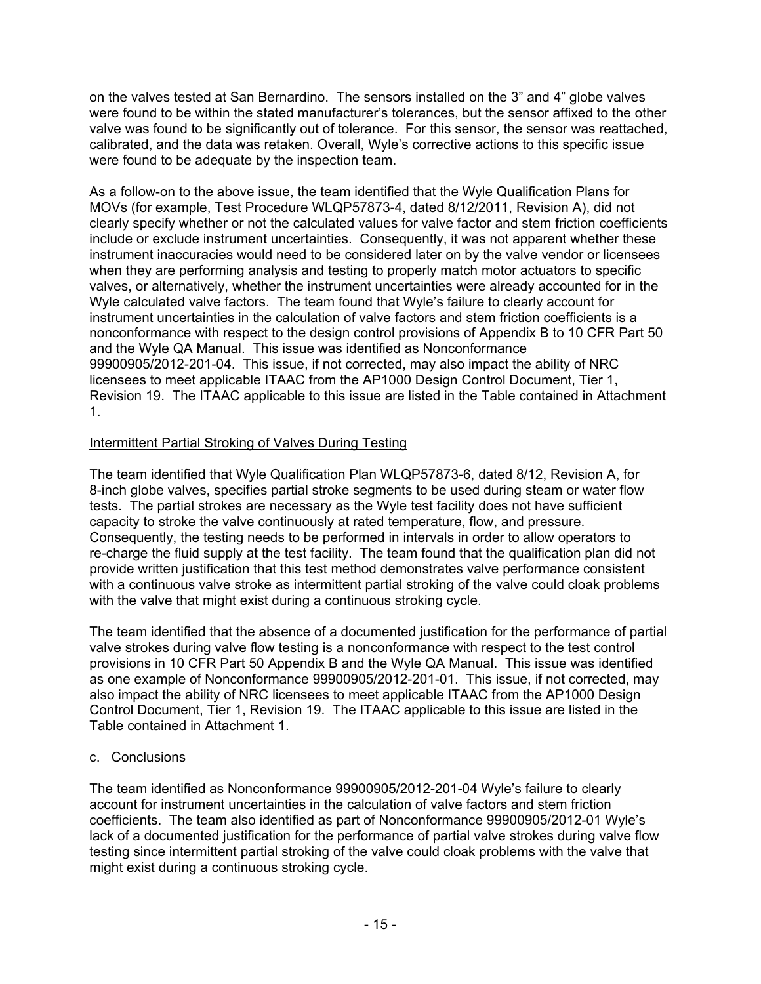on the valves tested at San Bernardino. The sensors installed on the 3" and 4" globe valves were found to be within the stated manufacturer's tolerances, but the sensor affixed to the other valve was found to be significantly out of tolerance. For this sensor, the sensor was reattached, calibrated, and the data was retaken. Overall, Wyle's corrective actions to this specific issue were found to be adequate by the inspection team.

As a follow-on to the above issue, the team identified that the Wyle Qualification Plans for MOVs (for example, Test Procedure WLQP57873-4, dated 8/12/2011, Revision A), did not clearly specify whether or not the calculated values for valve factor and stem friction coefficients include or exclude instrument uncertainties. Consequently, it was not apparent whether these instrument inaccuracies would need to be considered later on by the valve vendor or licensees when they are performing analysis and testing to properly match motor actuators to specific valves, or alternatively, whether the instrument uncertainties were already accounted for in the Wyle calculated valve factors. The team found that Wyle's failure to clearly account for instrument uncertainties in the calculation of valve factors and stem friction coefficients is a nonconformance with respect to the design control provisions of Appendix B to 10 CFR Part 50 and the Wyle QA Manual. This issue was identified as Nonconformance 99900905/2012-201-04. This issue, if not corrected, may also impact the ability of NRC licensees to meet applicable ITAAC from the AP1000 Design Control Document, Tier 1, Revision 19. The ITAAC applicable to this issue are listed in the Table contained in Attachment 1.

## Intermittent Partial Stroking of Valves During Testing

The team identified that Wyle Qualification Plan WLQP57873-6, dated 8/12, Revision A, for 8-inch globe valves, specifies partial stroke segments to be used during steam or water flow tests. The partial strokes are necessary as the Wyle test facility does not have sufficient capacity to stroke the valve continuously at rated temperature, flow, and pressure. Consequently, the testing needs to be performed in intervals in order to allow operators to re-charge the fluid supply at the test facility. The team found that the qualification plan did not provide written justification that this test method demonstrates valve performance consistent with a continuous valve stroke as intermittent partial stroking of the valve could cloak problems with the valve that might exist during a continuous stroking cycle.

The team identified that the absence of a documented justification for the performance of partial valve strokes during valve flow testing is a nonconformance with respect to the test control provisions in 10 CFR Part 50 Appendix B and the Wyle QA Manual. This issue was identified as one example of Nonconformance 99900905/2012-201-01. This issue, if not corrected, may also impact the ability of NRC licensees to meet applicable ITAAC from the AP1000 Design Control Document, Tier 1, Revision 19. The ITAAC applicable to this issue are listed in the Table contained in Attachment 1.

## c. Conclusions

The team identified as Nonconformance 99900905/2012-201-04 Wyle's failure to clearly account for instrument uncertainties in the calculation of valve factors and stem friction coefficients. The team also identified as part of Nonconformance 99900905/2012-01 Wyle's lack of a documented justification for the performance of partial valve strokes during valve flow testing since intermittent partial stroking of the valve could cloak problems with the valve that might exist during a continuous stroking cycle.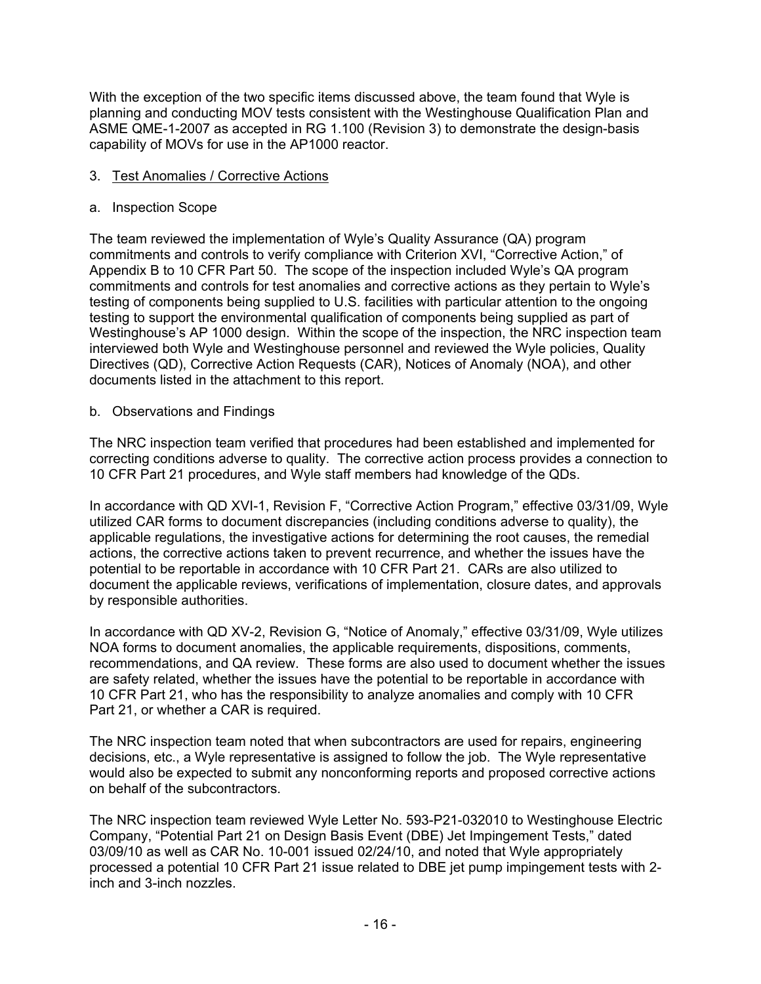With the exception of the two specific items discussed above, the team found that Wyle is planning and conducting MOV tests consistent with the Westinghouse Qualification Plan and ASME QME-1-2007 as accepted in RG 1.100 (Revision 3) to demonstrate the design-basis capability of MOVs for use in the AP1000 reactor.

#### 3. Test Anomalies / Corrective Actions

#### a. Inspection Scope

The team reviewed the implementation of Wyle's Quality Assurance (QA) program commitments and controls to verify compliance with Criterion XVI, "Corrective Action," of Appendix B to 10 CFR Part 50. The scope of the inspection included Wyle's QA program commitments and controls for test anomalies and corrective actions as they pertain to Wyle's testing of components being supplied to U.S. facilities with particular attention to the ongoing testing to support the environmental qualification of components being supplied as part of Westinghouse's AP 1000 design. Within the scope of the inspection, the NRC inspection team interviewed both Wyle and Westinghouse personnel and reviewed the Wyle policies, Quality Directives (QD), Corrective Action Requests (CAR), Notices of Anomaly (NOA), and other documents listed in the attachment to this report.

### b. Observations and Findings

The NRC inspection team verified that procedures had been established and implemented for correcting conditions adverse to quality. The corrective action process provides a connection to 10 CFR Part 21 procedures, and Wyle staff members had knowledge of the QDs.

In accordance with QD XVI-1, Revision F, "Corrective Action Program," effective 03/31/09, Wyle utilized CAR forms to document discrepancies (including conditions adverse to quality), the applicable regulations, the investigative actions for determining the root causes, the remedial actions, the corrective actions taken to prevent recurrence, and whether the issues have the potential to be reportable in accordance with 10 CFR Part 21. CARs are also utilized to document the applicable reviews, verifications of implementation, closure dates, and approvals by responsible authorities.

In accordance with QD XV-2, Revision G, "Notice of Anomaly," effective 03/31/09, Wyle utilizes NOA forms to document anomalies, the applicable requirements, dispositions, comments, recommendations, and QA review. These forms are also used to document whether the issues are safety related, whether the issues have the potential to be reportable in accordance with 10 CFR Part 21, who has the responsibility to analyze anomalies and comply with 10 CFR Part 21, or whether a CAR is required.

The NRC inspection team noted that when subcontractors are used for repairs, engineering decisions, etc., a Wyle representative is assigned to follow the job. The Wyle representative would also be expected to submit any nonconforming reports and proposed corrective actions on behalf of the subcontractors.

The NRC inspection team reviewed Wyle Letter No. 593-P21-032010 to Westinghouse Electric Company, "Potential Part 21 on Design Basis Event (DBE) Jet Impingement Tests," dated 03/09/10 as well as CAR No. 10-001 issued 02/24/10, and noted that Wyle appropriately processed a potential 10 CFR Part 21 issue related to DBE jet pump impingement tests with 2 inch and 3-inch nozzles.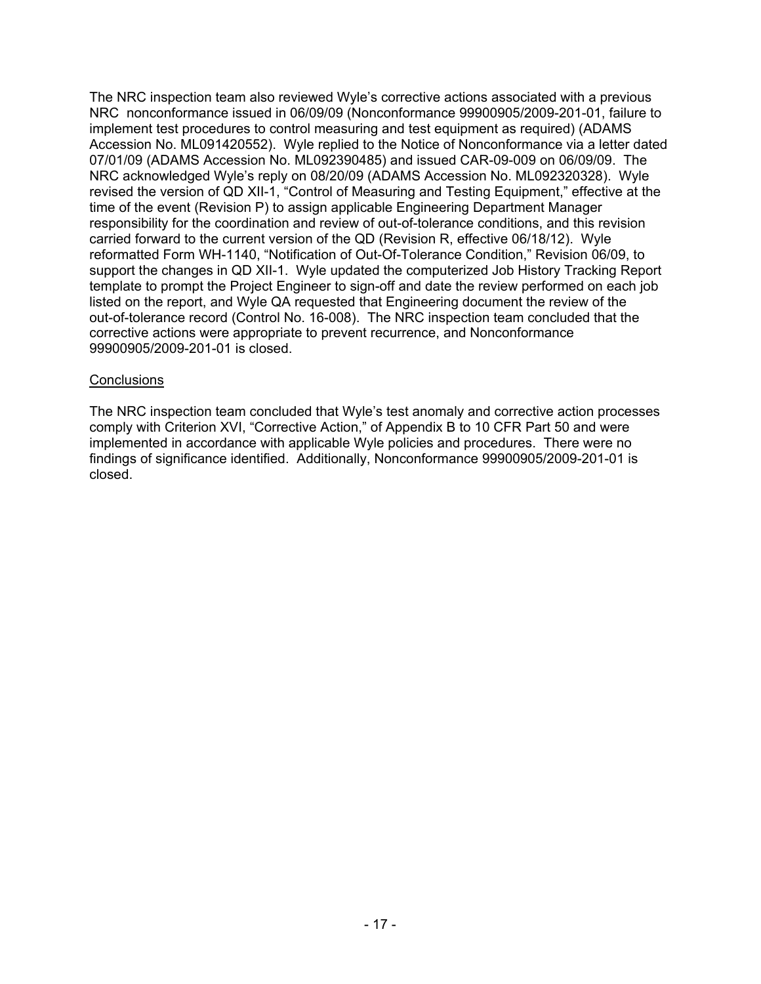The NRC inspection team also reviewed Wyle's corrective actions associated with a previous NRC nonconformance issued in 06/09/09 (Nonconformance 99900905/2009-201-01, failure to implement test procedures to control measuring and test equipment as required) (ADAMS Accession No. ML091420552). Wyle replied to the Notice of Nonconformance via a letter dated 07/01/09 (ADAMS Accession No. ML092390485) and issued CAR-09-009 on 06/09/09. The NRC acknowledged Wyle's reply on 08/20/09 (ADAMS Accession No. ML092320328). Wyle revised the version of QD XII-1, "Control of Measuring and Testing Equipment," effective at the time of the event (Revision P) to assign applicable Engineering Department Manager responsibility for the coordination and review of out-of-tolerance conditions, and this revision carried forward to the current version of the QD (Revision R, effective 06/18/12). Wyle reformatted Form WH-1140, "Notification of Out-Of-Tolerance Condition," Revision 06/09, to support the changes in QD XII-1. Wyle updated the computerized Job History Tracking Report template to prompt the Project Engineer to sign-off and date the review performed on each job listed on the report, and Wyle QA requested that Engineering document the review of the out-of-tolerance record (Control No. 16-008). The NRC inspection team concluded that the corrective actions were appropriate to prevent recurrence, and Nonconformance 99900905/2009-201-01 is closed.

#### **Conclusions**

The NRC inspection team concluded that Wyle's test anomaly and corrective action processes comply with Criterion XVI, "Corrective Action," of Appendix B to 10 CFR Part 50 and were implemented in accordance with applicable Wyle policies and procedures. There were no findings of significance identified. Additionally, Nonconformance 99900905/2009-201-01 is closed.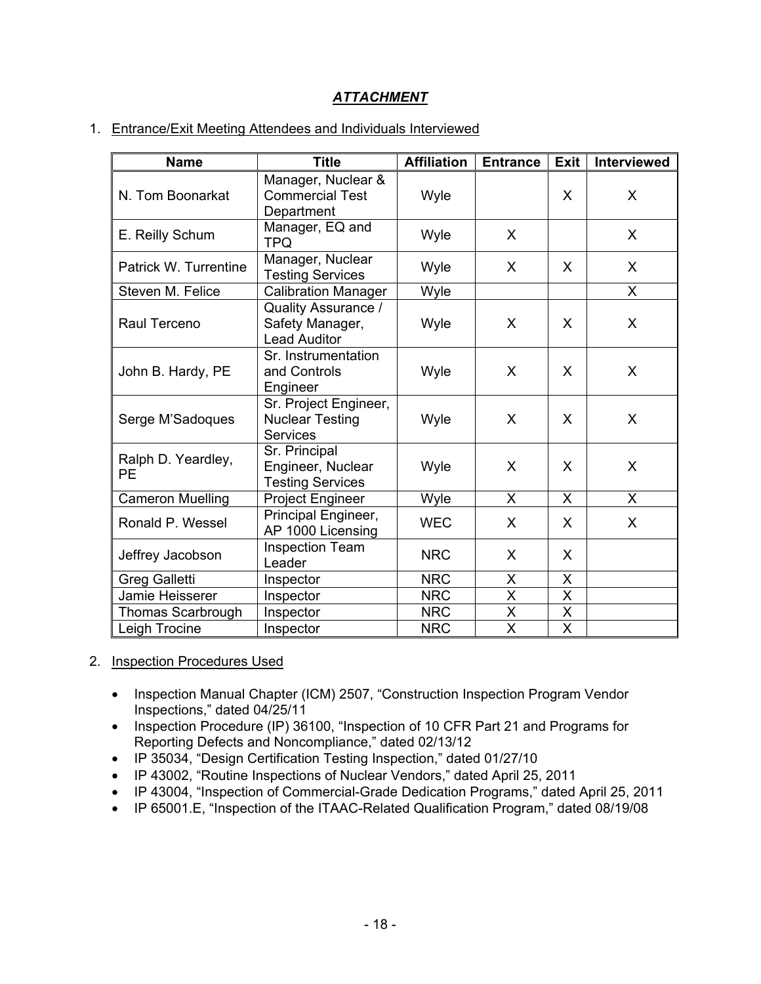# *ATTACHMENT*

#### 1. Entrance/Exit Meeting Attendees and Individuals Interviewed

| <b>Name</b>                       | <b>Title</b>                                                         | <b>Affiliation</b> | <b>Entrance</b>         | <b>Exit</b>             | Interviewed  |
|-----------------------------------|----------------------------------------------------------------------|--------------------|-------------------------|-------------------------|--------------|
| N. Tom Boonarkat                  | Manager, Nuclear &<br><b>Commercial Test</b><br>Department           | Wyle               |                         | X                       | X            |
| E. Reilly Schum                   | Manager, EQ and<br><b>TPQ</b>                                        | X<br>Wyle          |                         |                         | X            |
| Patrick W. Turrentine             | Manager, Nuclear<br><b>Testing Services</b>                          | Wyle               | X                       | X                       | X            |
| Steven M. Felice                  | <b>Calibration Manager</b>                                           | Wyle               |                         |                         | $\mathsf{X}$ |
| Raul Terceno                      | <b>Quality Assurance /</b><br>Safety Manager,<br><b>Lead Auditor</b> | Wyle               | X                       | X                       | X            |
| John B. Hardy, PE                 | Sr. Instrumentation<br>and Controls<br>Engineer                      | Wyle<br>X          |                         | X                       | X            |
| Serge M'Sadoques                  | Sr. Project Engineer,<br><b>Nuclear Testing</b><br><b>Services</b>   | Wyle               | X                       | X                       | X            |
| Ralph D. Yeardley,<br><b>PE</b>   | Sr. Principal<br>Engineer, Nuclear<br><b>Testing Services</b>        | Wyle               | X                       | X                       | X            |
| <b>Cameron Muelling</b>           | Project Engineer                                                     | Wyle               | X                       | X                       | $\mathsf{X}$ |
| Ronald P. Wessel                  | Principal Engineer,<br>AP 1000 Licensing                             | <b>WEC</b>         | X                       | X                       | X            |
| Jeffrey Jacobson                  | <b>Inspection Team</b><br>Leader                                     | <b>NRC</b>         | X                       | X                       |              |
| <b>Greg Galletti</b><br>Inspector |                                                                      | <b>NRC</b>         | X                       | $\mathsf{X}$            |              |
| Jamie Heisserer<br>Inspector      |                                                                      | <b>NRC</b>         | $\overline{X}$          | Χ                       |              |
| <b>Thomas Scarbrough</b>          | Inspector                                                            | <b>NRC</b>         | $\overline{\mathsf{X}}$ | $\overline{\mathsf{X}}$ |              |
| Leigh Trocine                     | Inspector                                                            | <b>NRC</b>         | $\overline{\mathsf{x}}$ | X                       |              |

#### 2. Inspection Procedures Used

- Inspection Manual Chapter (ICM) 2507, "Construction Inspection Program Vendor Inspections," dated 04/25/11
- Inspection Procedure (IP) 36100, "Inspection of 10 CFR Part 21 and Programs for Reporting Defects and Noncompliance," dated 02/13/12
- IP 35034, "Design Certification Testing Inspection," dated 01/27/10
- IP 43002, "Routine Inspections of Nuclear Vendors," dated April 25, 2011
- IP 43004, "Inspection of Commercial-Grade Dedication Programs," dated April 25, 2011
- IP 65001.E, "Inspection of the ITAAC-Related Qualification Program," dated 08/19/08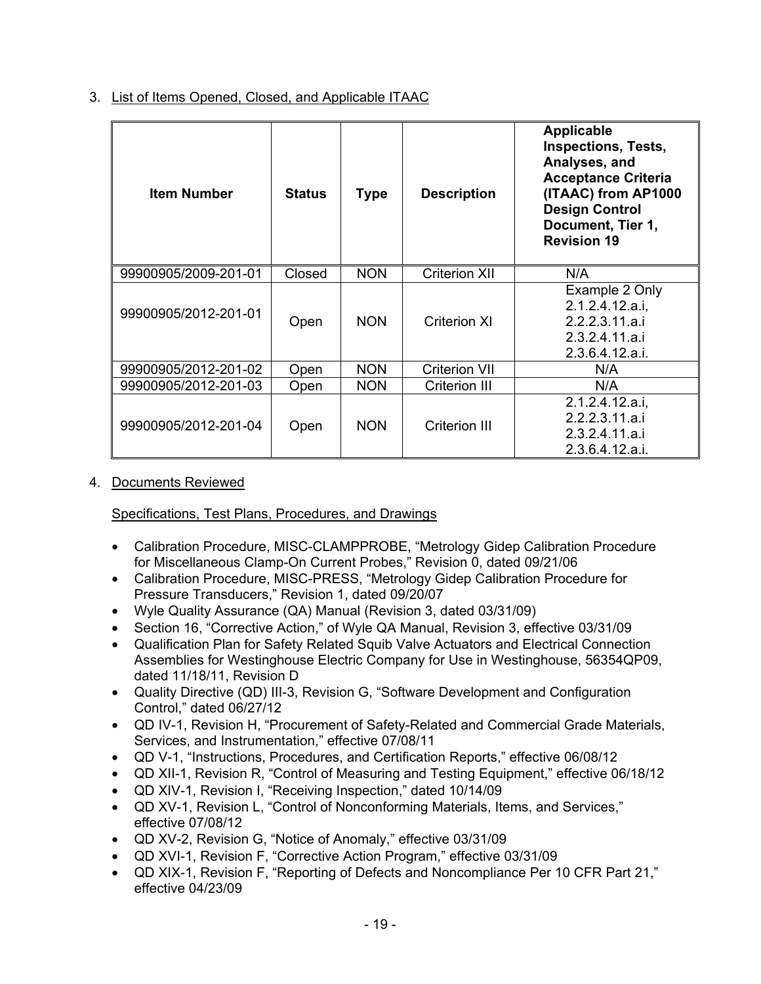3. List of Items Opened, Closed, and Applicable ITAAC

| <b>Item Number</b>   | <b>Status</b> | <b>Type</b> | <b>Description</b>   | <b>Applicable</b><br><b>Inspections, Tests,</b><br>Analyses, and<br><b>Acceptance Criteria</b><br>(ITAAC) from AP1000<br><b>Design Control</b><br>Document, Tier 1,<br><b>Revision 19</b> |
|----------------------|---------------|-------------|----------------------|-------------------------------------------------------------------------------------------------------------------------------------------------------------------------------------------|
| 99900905/2009-201-01 | Closed        | <b>NON</b>  | <b>Criterion XII</b> | N/A                                                                                                                                                                                       |
| 99900905/2012-201-01 | Open          | <b>NON</b>  | <b>Criterion XI</b>  | Example 2 Only<br>2.1.2.4.12.a.i.<br>2.2.2.3.11.a.i<br>2.3.2.4.11.a.i<br>2.3.6.4.12.a.i.                                                                                                  |
| 99900905/2012-201-02 | Open          | <b>NON</b>  | <b>Criterion VII</b> | N/A                                                                                                                                                                                       |
| 99900905/2012-201-03 | Open          | <b>NON</b>  | Criterion III        | N/A                                                                                                                                                                                       |
| 99900905/2012-201-04 | Open          | <b>NON</b>  | Criterion III        | 2.1.2.4.12.a.i.<br>2.2.2.3.11.a.i<br>2.3.2.4.11.a.i<br>2.3.6.4.12.a.i.                                                                                                                    |

4. Documents Reviewed

Specifications, Test Plans, Procedures, and Drawings

- Calibration Procedure, MISC-CLAMPPROBE, "Metrology Gidep Calibration Procedure for Miscellaneous Clamp-On Current Probes," Revision 0, dated 09/21/06
- Calibration Procedure, MISC-PRESS, "Metrology Gidep Calibration Procedure for Pressure Transducers," Revision 1, dated 09/20/07
- Wyle Quality Assurance (QA) Manual (Revision 3, dated 03/31/09)
- Section 16, "Corrective Action," of Wyle QA Manual, Revision 3, effective 03/31/09
- Qualification Plan for Safety Related Squib Valve Actuators and Electrical Connection Assemblies for Westinghouse Electric Company for Use in Westinghouse, 56354QP09, dated 11/18/11, Revision D
- Quality Directive (QD) III-3, Revision G, "Software Development and Configuration Control," dated 06/27/12
- QD IV-1, Revision H, "Procurement of Safety-Related and Commercial Grade Materials, Services, and Instrumentation," effective 07/08/11
- QD V-1, "Instructions, Procedures, and Certification Reports," effective 06/08/12
- QD XII-1, Revision R, "Control of Measuring and Testing Equipment," effective 06/18/12
- QD XIV-1, Revision I, "Receiving Inspection," dated 10/14/09
- QD XV-1, Revision L, "Control of Nonconforming Materials, Items, and Services," effective 07/08/12
- QD XV-2, Revision G, "Notice of Anomaly," effective 03/31/09
- QD XVI-1, Revision F, "Corrective Action Program," effective 03/31/09
- QD XIX-1, Revision F, "Reporting of Defects and Noncompliance Per 10 CFR Part 21," effective 04/23/09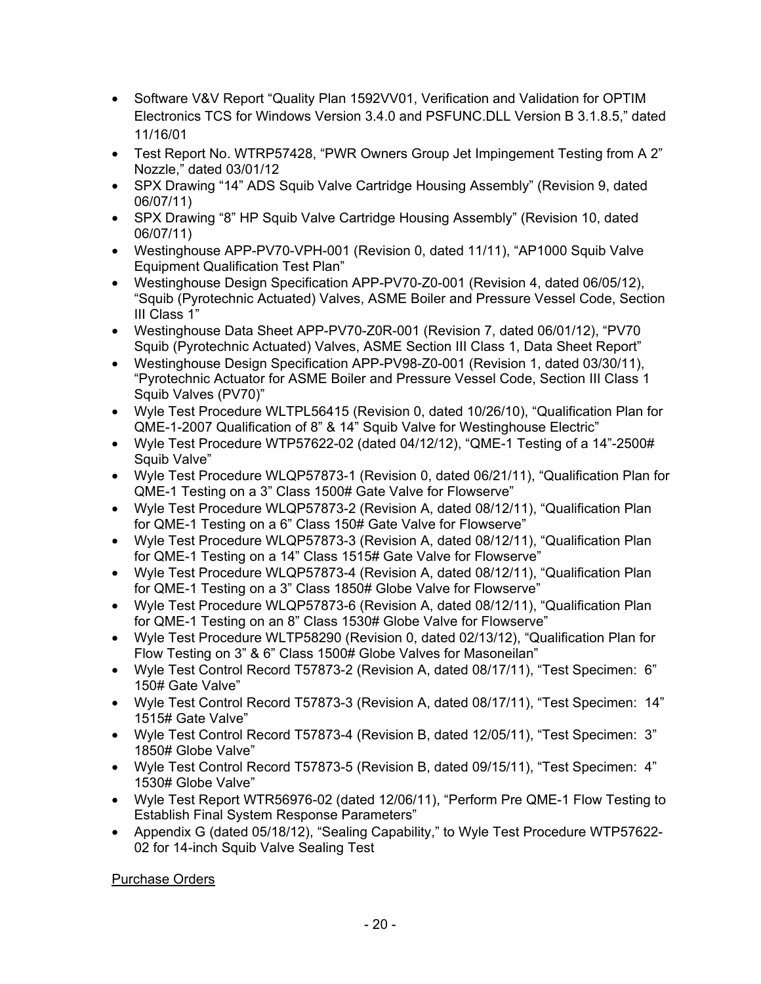- Software V&V Report "Quality Plan 1592VV01, Verification and Validation for OPTIM Electronics TCS for Windows Version 3.4.0 and PSFUNC.DLL Version B 3.1.8.5," dated 11/16/01
- Test Report No. WTRP57428, "PWR Owners Group Jet Impingement Testing from A 2" Nozzle," dated 03/01/12
- SPX Drawing "14" ADS Squib Valve Cartridge Housing Assembly" (Revision 9, dated 06/07/11)
- SPX Drawing "8" HP Squib Valve Cartridge Housing Assembly" (Revision 10, dated 06/07/11)
- Westinghouse APP-PV70-VPH-001 (Revision 0, dated 11/11), "AP1000 Squib Valve Equipment Qualification Test Plan"
- Westinghouse Design Specification APP-PV70-Z0-001 (Revision 4, dated 06/05/12), "Squib (Pyrotechnic Actuated) Valves, ASME Boiler and Pressure Vessel Code, Section III Class 1"
- Westinghouse Data Sheet APP-PV70-Z0R-001 (Revision 7, dated 06/01/12), "PV70 Squib (Pyrotechnic Actuated) Valves, ASME Section III Class 1, Data Sheet Report"
- Westinghouse Design Specification APP-PV98-Z0-001 (Revision 1, dated 03/30/11), "Pyrotechnic Actuator for ASME Boiler and Pressure Vessel Code, Section III Class 1 Squib Valves (PV70)"
- Wyle Test Procedure WLTPL56415 (Revision 0, dated 10/26/10), "Qualification Plan for QME-1-2007 Qualification of 8" & 14" Squib Valve for Westinghouse Electric"
- Wyle Test Procedure WTP57622-02 (dated 04/12/12), "QME-1 Testing of a 14"-2500# Squib Valve"
- Wyle Test Procedure WLQP57873-1 (Revision 0, dated 06/21/11), "Qualification Plan for QME-1 Testing on a 3" Class 1500# Gate Valve for Flowserve"
- Wyle Test Procedure WLQP57873-2 (Revision A, dated 08/12/11), "Qualification Plan for QME-1 Testing on a 6" Class 150# Gate Valve for Flowserve"
- Wyle Test Procedure WLQP57873-3 (Revision A, dated 08/12/11), "Qualification Plan for QME-1 Testing on a 14" Class 1515# Gate Valve for Flowserve"
- Wyle Test Procedure WLQP57873-4 (Revision A, dated 08/12/11), "Qualification Plan for QME-1 Testing on a 3" Class 1850# Globe Valve for Flowserve"
- Wyle Test Procedure WLQP57873-6 (Revision A, dated 08/12/11), "Qualification Plan for QME-1 Testing on an 8" Class 1530# Globe Valve for Flowserve"
- Wyle Test Procedure WLTP58290 (Revision 0, dated 02/13/12), "Qualification Plan for Flow Testing on 3" & 6" Class 1500# Globe Valves for Masoneilan"
- Wyle Test Control Record T57873-2 (Revision A, dated 08/17/11), "Test Specimen: 6" 150# Gate Valve"
- Wyle Test Control Record T57873-3 (Revision A, dated 08/17/11), "Test Specimen: 14" 1515# Gate Valve"
- Wyle Test Control Record T57873-4 (Revision B, dated 12/05/11), "Test Specimen: 3" 1850# Globe Valve"
- Wyle Test Control Record T57873-5 (Revision B, dated 09/15/11), "Test Specimen: 4" 1530# Globe Valve"
- Wyle Test Report WTR56976-02 (dated 12/06/11), "Perform Pre QME-1 Flow Testing to Establish Final System Response Parameters"
- Appendix G (dated 05/18/12), "Sealing Capability," to Wyle Test Procedure WTP57622- 02 for 14-inch Squib Valve Sealing Test

Purchase Orders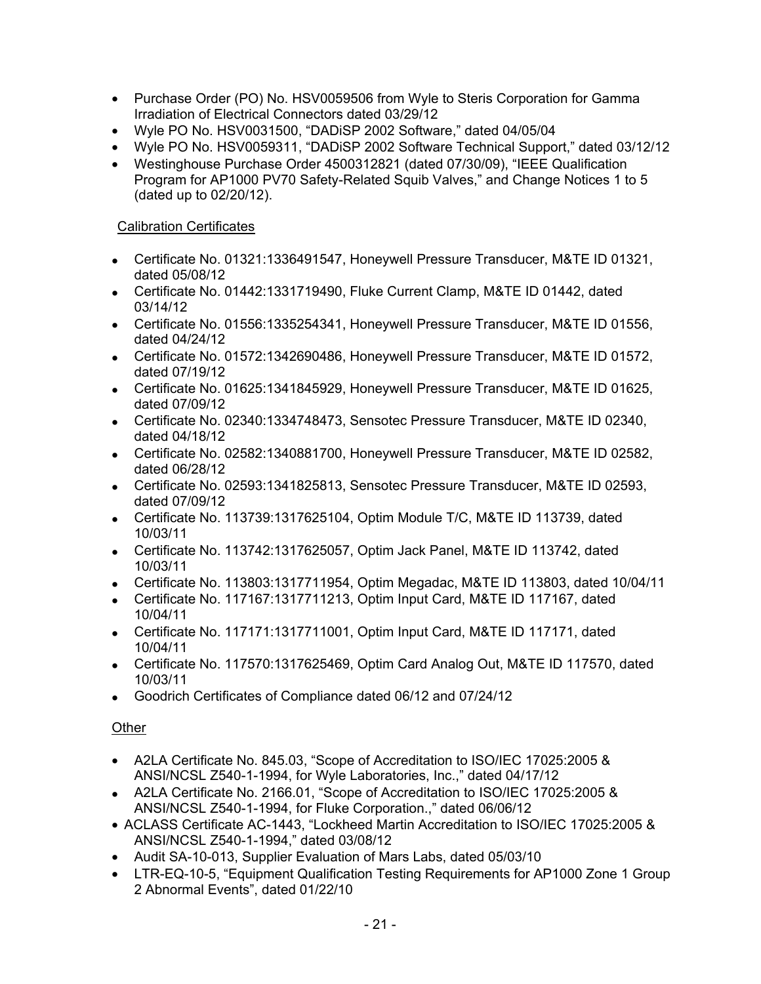- Purchase Order (PO) No. HSV0059506 from Wyle to Steris Corporation for Gamma Irradiation of Electrical Connectors dated 03/29/12
- Wyle PO No. HSV0031500, "DADiSP 2002 Software," dated 04/05/04
- Wyle PO No. HSV0059311, "DADiSP 2002 Software Technical Support," dated 03/12/12
- Westinghouse Purchase Order 4500312821 (dated 07/30/09), "IEEE Qualification Program for AP1000 PV70 Safety-Related Squib Valves," and Change Notices 1 to 5 (dated up to 02/20/12).

### Calibration Certificates

- Certificate No. 01321:1336491547, Honeywell Pressure Transducer, M&TE ID 01321, dated 05/08/12
- Certificate No. 01442:1331719490, Fluke Current Clamp, M&TE ID 01442, dated 03/14/12
- Certificate No. 01556:1335254341, Honeywell Pressure Transducer, M&TE ID 01556, dated 04/24/12
- Certificate No. 01572:1342690486, Honeywell Pressure Transducer, M&TE ID 01572, dated 07/19/12
- Certificate No. 01625:1341845929, Honeywell Pressure Transducer, M&TE ID 01625, dated 07/09/12
- Certificate No. 02340:1334748473, Sensotec Pressure Transducer, M&TE ID 02340, dated 04/18/12
- Certificate No. 02582:1340881700, Honeywell Pressure Transducer, M&TE ID 02582, dated 06/28/12
- Certificate No. 02593:1341825813, Sensotec Pressure Transducer, M&TE ID 02593, dated 07/09/12
- Certificate No. 113739:1317625104, Optim Module T/C, M&TE ID 113739, dated 10/03/11
- Certificate No. 113742:1317625057, Optim Jack Panel, M&TE ID 113742, dated 10/03/11
- Certificate No. 113803:1317711954, Optim Megadac, M&TE ID 113803, dated 10/04/11
- Certificate No. 117167:1317711213, Optim Input Card, M&TE ID 117167, dated 10/04/11
- Certificate No. 117171:1317711001, Optim Input Card, M&TE ID 117171, dated 10/04/11
- Certificate No. 117570:1317625469, Optim Card Analog Out, M&TE ID 117570, dated 10/03/11
- Goodrich Certificates of Compliance dated 06/12 and 07/24/12

## Other

- A2LA Certificate No. 845.03, "Scope of Accreditation to ISO/IEC 17025:2005 & ANSI/NCSL Z540-1-1994, for Wyle Laboratories, Inc.," dated 04/17/12
- A2LA Certificate No. 2166.01, "Scope of Accreditation to ISO/IEC 17025:2005 & ANSI/NCSL Z540-1-1994, for Fluke Corporation.," dated 06/06/12
- ACLASS Certificate AC-1443, "Lockheed Martin Accreditation to ISO/IEC 17025:2005 & ANSI/NCSL Z540-1-1994," dated 03/08/12
- Audit SA-10-013, Supplier Evaluation of Mars Labs, dated 05/03/10
- LTR-EQ-10-5, "Equipment Qualification Testing Requirements for AP1000 Zone 1 Group 2 Abnormal Events", dated 01/22/10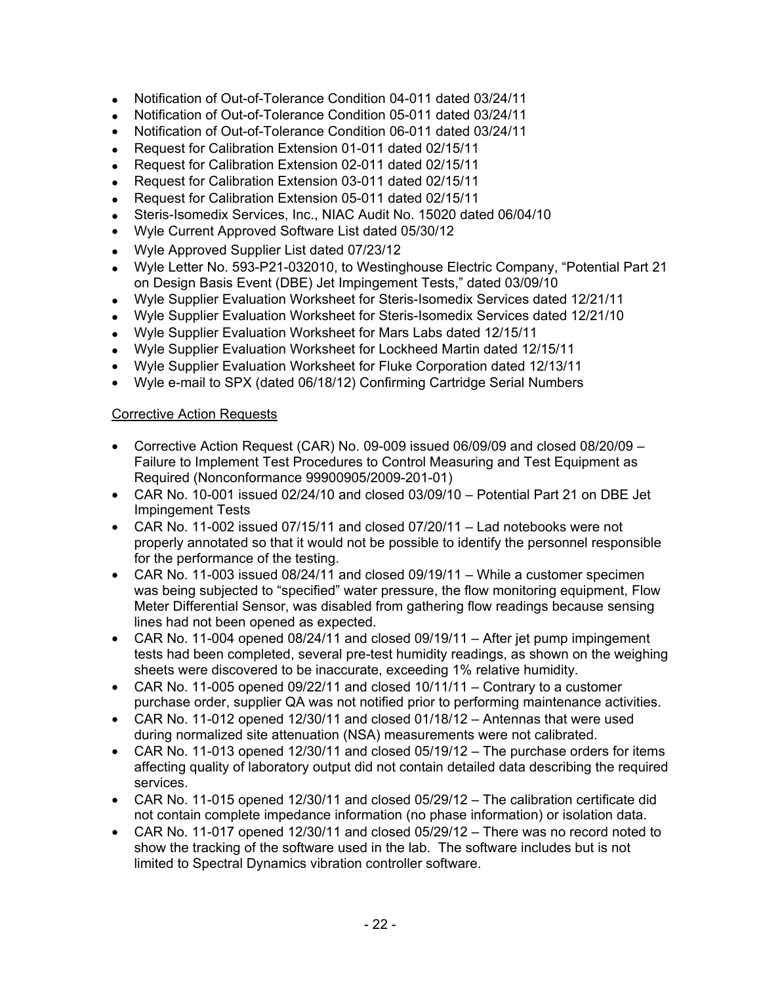- Notification of Out-of-Tolerance Condition 04-011 dated 03/24/11
- Notification of Out-of-Tolerance Condition 05-011 dated 03/24/11
- Notification of Out-of-Tolerance Condition 06-011 dated 03/24/11
- Request for Calibration Extension 01-011 dated 02/15/11
- Request for Calibration Extension 02-011 dated 02/15/11
- Request for Calibration Extension 03-011 dated 02/15/11
- Request for Calibration Extension 05-011 dated 02/15/11
- Steris-Isomedix Services, Inc., NIAC Audit No. 15020 dated 06/04/10
- Wyle Current Approved Software List dated 05/30/12
- Wyle Approved Supplier List dated 07/23/12
- Wyle Letter No. 593-P21-032010, to Westinghouse Electric Company, "Potential Part 21 on Design Basis Event (DBE) Jet Impingement Tests," dated 03/09/10
- Wyle Supplier Evaluation Worksheet for Steris-Isomedix Services dated 12/21/11
- Wyle Supplier Evaluation Worksheet for Steris-Isomedix Services dated 12/21/10
- Wyle Supplier Evaluation Worksheet for Mars Labs dated 12/15/11
- Wyle Supplier Evaluation Worksheet for Lockheed Martin dated 12/15/11
- Wyle Supplier Evaluation Worksheet for Fluke Corporation dated 12/13/11
- Wyle e-mail to SPX (dated 06/18/12) Confirming Cartridge Serial Numbers

## Corrective Action Requests

- Corrective Action Request (CAR) No. 09-009 issued 06/09/09 and closed 08/20/09 Failure to Implement Test Procedures to Control Measuring and Test Equipment as Required (Nonconformance 99900905/2009-201-01)
- CAR No. 10-001 issued 02/24/10 and closed 03/09/10 Potential Part 21 on DBE Jet Impingement Tests
- CAR No. 11-002 issued 07/15/11 and closed 07/20/11 Lad notebooks were not properly annotated so that it would not be possible to identify the personnel responsible for the performance of the testing.
- CAR No. 11-003 issued 08/24/11 and closed 09/19/11 While a customer specimen was being subjected to "specified" water pressure, the flow monitoring equipment, Flow Meter Differential Sensor, was disabled from gathering flow readings because sensing lines had not been opened as expected.
- CAR No. 11-004 opened 08/24/11 and closed 09/19/11 After jet pump impingement tests had been completed, several pre-test humidity readings, as shown on the weighing sheets were discovered to be inaccurate, exceeding 1% relative humidity.
- CAR No. 11-005 opened  $09/22/11$  and closed  $10/11/11 -$  Contrary to a customer purchase order, supplier QA was not notified prior to performing maintenance activities.
- CAR No. 11-012 opened 12/30/11 and closed 01/18/12 Antennas that were used during normalized site attenuation (NSA) measurements were not calibrated.
- CAR No. 11-013 opened 12/30/11 and closed 05/19/12 The purchase orders for items affecting quality of laboratory output did not contain detailed data describing the required services.
- CAR No. 11-015 opened 12/30/11 and closed 05/29/12 The calibration certificate did not contain complete impedance information (no phase information) or isolation data.
- CAR No. 11-017 opened 12/30/11 and closed 05/29/12 There was no record noted to show the tracking of the software used in the lab. The software includes but is not limited to Spectral Dynamics vibration controller software.